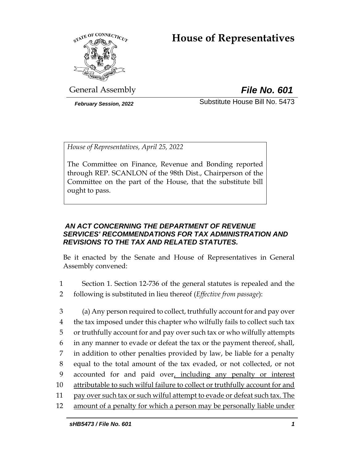# **House of Representatives**



General Assembly *File No. 601*

*February Session, 2022* Substitute House Bill No. 5473

*House of Representatives, April 25, 2022*

The Committee on Finance, Revenue and Bonding reported through REP. SCANLON of the 98th Dist., Chairperson of the Committee on the part of the House, that the substitute bill ought to pass.

## *AN ACT CONCERNING THE DEPARTMENT OF REVENUE SERVICES' RECOMMENDATIONS FOR TAX ADMINISTRATION AND REVISIONS TO THE TAX AND RELATED STATUTES.*

Be it enacted by the Senate and House of Representatives in General Assembly convened:

- 1 Section 1. Section 12-736 of the general statutes is repealed and the 2 following is substituted in lieu thereof (*Effective from passage*):
- 3 (a) Any person required to collect, truthfully account for and pay over 4 the tax imposed under this chapter who wilfully fails to collect such tax 5 or truthfully account for and pay over such tax or who wilfully attempts 6 in any manner to evade or defeat the tax or the payment thereof, shall, 7 in addition to other penalties provided by law, be liable for a penalty 8 equal to the total amount of the tax evaded, or not collected, or not 9 accounted for and paid over, including any penalty or interest 10 attributable to such wilful failure to collect or truthfully account for and 11 pay over such tax or such wilful attempt to evade or defeat such tax. The 12 amount of a penalty for which a person may be personally liable under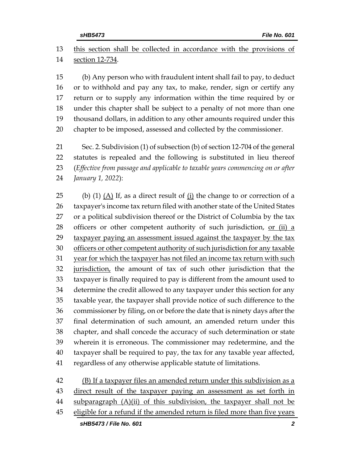this section shall be collected in accordance with the provisions of section 12-734. (b) Any person who with fraudulent intent shall fail to pay, to deduct

 or to withhold and pay any tax, to make, render, sign or certify any return or to supply any information within the time required by or under this chapter shall be subject to a penalty of not more than one thousand dollars, in addition to any other amounts required under this chapter to be imposed, assessed and collected by the commissioner.

 Sec. 2. Subdivision (1) of subsection (b) of section 12-704 of the general statutes is repealed and the following is substituted in lieu thereof (*Effective from passage and applicable to taxable years commencing on or after January 1, 2022*):

25 (b) (1)  $(A)$  If, as a direct result of  $(i)$  the change to or correction of a taxpayer's income tax return filed with another state of the United States or a political subdivision thereof or the District of Columbia by the tax 28 officers or other competent authority of such jurisdiction, or (ii) a taxpayer paying an assessment issued against the taxpayer by the tax 30 officers or other competent authority of such jurisdiction for any taxable year for which the taxpayer has not filed an income tax return with such 32 jurisdiction, the amount of tax of such other jurisdiction that the taxpayer is finally required to pay is different from the amount used to determine the credit allowed to any taxpayer under this section for any taxable year, the taxpayer shall provide notice of such difference to the commissioner by filing, on or before the date that is ninety days after the final determination of such amount, an amended return under this chapter, and shall concede the accuracy of such determination or state wherein it is erroneous. The commissioner may redetermine, and the taxpayer shall be required to pay, the tax for any taxable year affected, regardless of any otherwise applicable statute of limitations.

 (B) If a taxpayer files an amended return under this subdivision as a 43 direct result of the taxpayer paying an assessment as set forth in 44 subparagraph (A)(ii) of this subdivision, the taxpayer shall not be eligible for a refund if the amended return is filed more than five years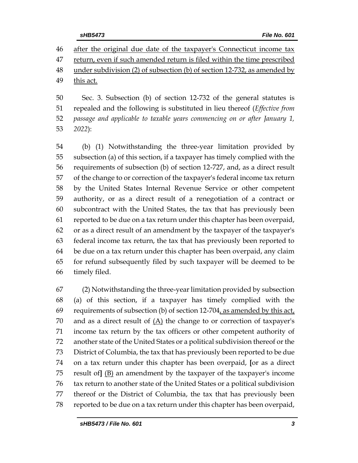after the original due date of the taxpayer's Connecticut income tax return, even if such amended return is filed within the time prescribed under subdivision (2) of subsection (b) of section 12-732, as amended by this act.

 Sec. 3. Subsection (b) of section 12-732 of the general statutes is repealed and the following is substituted in lieu thereof (*Effective from passage and applicable to taxable years commencing on or after January 1, 2022*):

 (b) (1) Notwithstanding the three-year limitation provided by subsection (a) of this section, if a taxpayer has timely complied with the requirements of subsection (b) of section 12-727, and, as a direct result of the change to or correction of the taxpayer's federal income tax return by the United States Internal Revenue Service or other competent authority, or as a direct result of a renegotiation of a contract or subcontract with the United States, the tax that has previously been reported to be due on a tax return under this chapter has been overpaid, or as a direct result of an amendment by the taxpayer of the taxpayer's federal income tax return, the tax that has previously been reported to be due on a tax return under this chapter has been overpaid, any claim for refund subsequently filed by such taxpayer will be deemed to be timely filed.

 (2) Notwithstanding the three-year limitation provided by subsection (a) of this section, if a taxpayer has timely complied with the 69 requirements of subsection (b) of section  $12-704$ , as amended by this act, 70 and as a direct result of  $(A)$  the change to or correction of taxpayer's income tax return by the tax officers or other competent authority of another state of the United States or a political subdivision thereof or the District of Columbia, the tax that has previously been reported to be due on a tax return under this chapter has been overpaid, **[**or as a direct result of**]** (B) an amendment by the taxpayer of the taxpayer's income tax return to another state of the United States or a political subdivision thereof or the District of Columbia, the tax that has previously been reported to be due on a tax return under this chapter has been overpaid,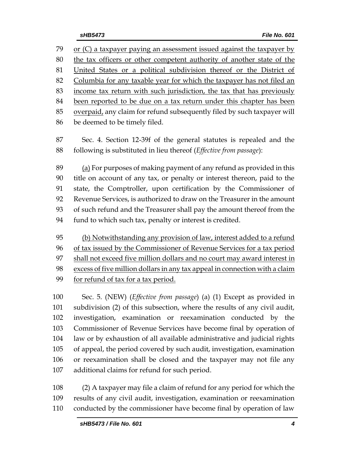or (C) a taxpayer paying an assessment issued against the taxpayer by the tax officers or other competent authority of another state of the United States or a political subdivision thereof or the District of Columbia for any taxable year for which the taxpayer has not filed an income tax return with such jurisdiction, the tax that has previously been reported to be due on a tax return under this chapter has been overpaid, any claim for refund subsequently filed by such taxpayer will be deemed to be timely filed. Sec. 4. Section 12-39f of the general statutes is repealed and the following is substituted in lieu thereof (*Effective from passage*): (a) For purposes of making payment of any refund as provided in this title on account of any tax, or penalty or interest thereon, paid to the state, the Comptroller, upon certification by the Commissioner of Revenue Services, is authorized to draw on the Treasurer in the amount of such refund and the Treasurer shall pay the amount thereof from the fund to which such tax, penalty or interest is credited. (b) Notwithstanding any provision of law, interest added to a refund of tax issued by the Commissioner of Revenue Services for a tax period shall not exceed five million dollars and no court may award interest in excess of five million dollars in any tax appeal in connection with a claim for refund of tax for a tax period. Sec. 5. (NEW) (*Effective from passage*) (a) (1) Except as provided in subdivision (2) of this subsection, where the results of any civil audit, investigation, examination or reexamination conducted by the Commissioner of Revenue Services have become final by operation of law or by exhaustion of all available administrative and judicial rights of appeal, the period covered by such audit, investigation, examination

 or reexamination shall be closed and the taxpayer may not file any additional claims for refund for such period.

 (2) A taxpayer may file a claim of refund for any period for which the results of any civil audit, investigation, examination or reexamination conducted by the commissioner have become final by operation of law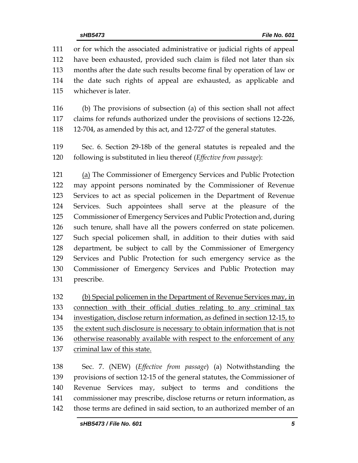or for which the associated administrative or judicial rights of appeal have been exhausted, provided such claim is filed not later than six months after the date such results become final by operation of law or the date such rights of appeal are exhausted, as applicable and whichever is later.

 (b) The provisions of subsection (a) of this section shall not affect claims for refunds authorized under the provisions of sections 12-226, 12-704, as amended by this act, and 12-727 of the general statutes.

 Sec. 6. Section 29-18b of the general statutes is repealed and the following is substituted in lieu thereof (*Effective from passage*):

 (a) The Commissioner of Emergency Services and Public Protection may appoint persons nominated by the Commissioner of Revenue Services to act as special policemen in the Department of Revenue Services. Such appointees shall serve at the pleasure of the Commissioner of Emergency Services and Public Protection and, during such tenure, shall have all the powers conferred on state policemen. Such special policemen shall, in addition to their duties with said department, be subject to call by the Commissioner of Emergency Services and Public Protection for such emergency service as the Commissioner of Emergency Services and Public Protection may prescribe.

 (b) Special policemen in the Department of Revenue Services may, in connection with their official duties relating to any criminal tax investigation, disclose return information, as defined in section 12-15, to the extent such disclosure is necessary to obtain information that is not otherwise reasonably available with respect to the enforcement of any criminal law of this state.

 Sec. 7. (NEW) (*Effective from passage*) (a) Notwithstanding the provisions of section 12-15 of the general statutes, the Commissioner of Revenue Services may, subject to terms and conditions the commissioner may prescribe, disclose returns or return information, as those terms are defined in said section, to an authorized member of an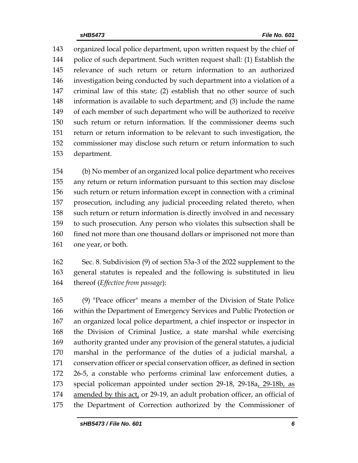organized local police department, upon written request by the chief of police of such department. Such written request shall: (1) Establish the relevance of such return or return information to an authorized investigation being conducted by such department into a violation of a criminal law of this state; (2) establish that no other source of such information is available to such department; and (3) include the name of each member of such department who will be authorized to receive such return or return information. If the commissioner deems such return or return information to be relevant to such investigation, the commissioner may disclose such return or return information to such department.

 (b) No member of an organized local police department who receives any return or return information pursuant to this section may disclose such return or return information except in connection with a criminal prosecution, including any judicial proceeding related thereto, when such return or return information is directly involved in and necessary to such prosecution. Any person who violates this subsection shall be 160 fined not more than one thousand dollars or imprisoned not more than 161 one year, or both.

 Sec. 8. Subdivision (9) of section 53a-3 of the 2022 supplement to the general statutes is repealed and the following is substituted in lieu thereof (*Effective from passage*):

 (9) "Peace officer" means a member of the Division of State Police within the Department of Emergency Services and Public Protection or an organized local police department, a chief inspector or inspector in the Division of Criminal Justice, a state marshal while exercising authority granted under any provision of the general statutes, a judicial marshal in the performance of the duties of a judicial marshal, a conservation officer or special conservation officer, as defined in section 26-5, a constable who performs criminal law enforcement duties, a special policeman appointed under section 29-18, 29-18a, 29-18b, as 174 amended by this act, or 29-19, an adult probation officer, an official of the Department of Correction authorized by the Commissioner of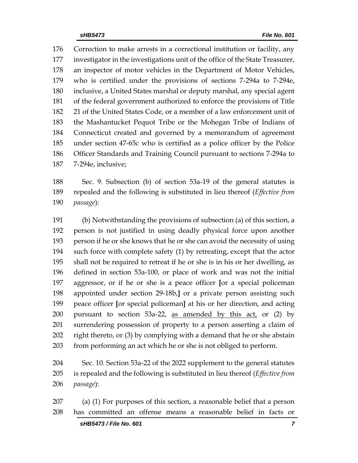Correction to make arrests in a correctional institution or facility, any investigator in the investigations unit of the office of the State Treasurer, an inspector of motor vehicles in the Department of Motor Vehicles, who is certified under the provisions of sections 7-294a to 7-294e, inclusive, a United States marshal or deputy marshal, any special agent of the federal government authorized to enforce the provisions of Title 21 of the United States Code, or a member of a law enforcement unit of the Mashantucket Pequot Tribe or the Mohegan Tribe of Indians of Connecticut created and governed by a memorandum of agreement under section 47-65c who is certified as a police officer by the Police Officer Standards and Training Council pursuant to sections 7-294a to 7-294e, inclusive;

 Sec. 9. Subsection (b) of section 53a-19 of the general statutes is repealed and the following is substituted in lieu thereof (*Effective from passage*):

 (b) Notwithstanding the provisions of subsection (a) of this section, a person is not justified in using deadly physical force upon another person if he or she knows that he or she can avoid the necessity of using such force with complete safety (1) by retreating, except that the actor shall not be required to retreat if he or she is in his or her dwelling, as defined in section 53a-100, or place of work and was not the initial aggressor, or if he or she is a peace officer **[**or a special policeman appointed under section 29-18b,**]** or a private person assisting such peace officer **[**or special policeman**]** at his or her direction, and acting 200 pursuant to section 53a-22, as amended by this act, or (2) by surrendering possession of property to a person asserting a claim of right thereto, or (3) by complying with a demand that he or she abstain from performing an act which he or she is not obliged to perform.

 Sec. 10. Section 53a-22 of the 2022 supplement to the general statutes is repealed and the following is substituted in lieu thereof (*Effective from passage*):

 (a) (1) For purposes of this section, a reasonable belief that a person has committed an offense means a reasonable belief in facts or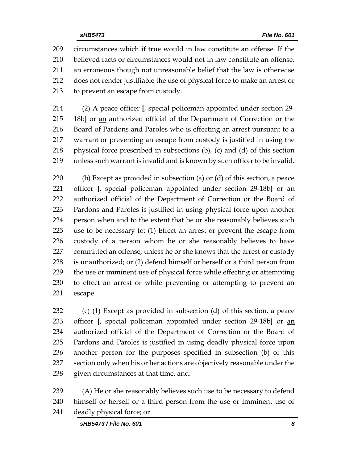circumstances which if true would in law constitute an offense. If the believed facts or circumstances would not in law constitute an offense, an erroneous though not unreasonable belief that the law is otherwise does not render justifiable the use of physical force to make an arrest or to prevent an escape from custody.

 (2) A peace officer **[**, special policeman appointed under section 29- 18b**]** or an authorized official of the Department of Correction or the Board of Pardons and Paroles who is effecting an arrest pursuant to a warrant or preventing an escape from custody is justified in using the physical force prescribed in subsections (b), (c) and (d) of this section unless such warrant is invalid and is known by such officer to be invalid.

 (b) Except as provided in subsection (a) or (d) of this section, a peace officer **[**, special policeman appointed under section 29-18b**]** or an authorized official of the Department of Correction or the Board of Pardons and Paroles is justified in using physical force upon another person when and to the extent that he or she reasonably believes such use to be necessary to: (1) Effect an arrest or prevent the escape from custody of a person whom he or she reasonably believes to have committed an offense, unless he or she knows that the arrest or custody is unauthorized; or (2) defend himself or herself or a third person from the use or imminent use of physical force while effecting or attempting to effect an arrest or while preventing or attempting to prevent an escape.

 (c) (1) Except as provided in subsection (d) of this section, a peace officer **[**, special policeman appointed under section 29-18b**]** or an authorized official of the Department of Correction or the Board of Pardons and Paroles is justified in using deadly physical force upon another person for the purposes specified in subsection (b) of this section only when his or her actions are objectively reasonable under the given circumstances at that time, and:

 (A) He or she reasonably believes such use to be necessary to defend himself or herself or a third person from the use or imminent use of deadly physical force; or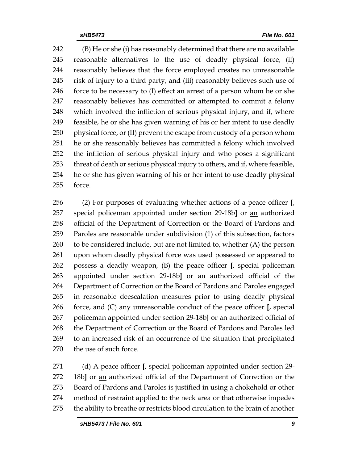(B) He or she (i) has reasonably determined that there are no available reasonable alternatives to the use of deadly physical force, (ii) reasonably believes that the force employed creates no unreasonable risk of injury to a third party, and (iii) reasonably believes such use of force to be necessary to (I) effect an arrest of a person whom he or she reasonably believes has committed or attempted to commit a felony which involved the infliction of serious physical injury, and if, where feasible, he or she has given warning of his or her intent to use deadly physical force, or (II) prevent the escape from custody of a person whom he or she reasonably believes has committed a felony which involved the infliction of serious physical injury and who poses a significant threat of death or serious physical injury to others, and if, where feasible, he or she has given warning of his or her intent to use deadly physical force.

 (2) For purposes of evaluating whether actions of a peace officer **[**, special policeman appointed under section 29-18b**]** or an authorized official of the Department of Correction or the Board of Pardons and Paroles are reasonable under subdivision (1) of this subsection, factors to be considered include, but are not limited to, whether (A) the person upon whom deadly physical force was used possessed or appeared to possess a deadly weapon, (B) the peace officer **[**, special policeman appointed under section 29-18b**]** or an authorized official of the Department of Correction or the Board of Pardons and Paroles engaged in reasonable deescalation measures prior to using deadly physical force, and (C) any unreasonable conduct of the peace officer **[**, special policeman appointed under section 29-18b**]** or an authorized official of the Department of Correction or the Board of Pardons and Paroles led to an increased risk of an occurrence of the situation that precipitated the use of such force.

 (d) A peace officer **[**, special policeman appointed under section 29- 18b**]** or an authorized official of the Department of Correction or the Board of Pardons and Paroles is justified in using a chokehold or other method of restraint applied to the neck area or that otherwise impedes the ability to breathe or restricts blood circulation to the brain of another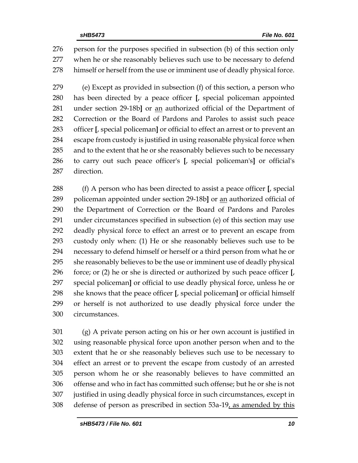person for the purposes specified in subsection (b) of this section only when he or she reasonably believes such use to be necessary to defend himself or herself from the use or imminent use of deadly physical force.

 (e) Except as provided in subsection (f) of this section, a person who has been directed by a peace officer **[**, special policeman appointed under section 29-18b**]** or an authorized official of the Department of Correction or the Board of Pardons and Paroles to assist such peace officer **[**, special policeman**]** or official to effect an arrest or to prevent an escape from custody is justified in using reasonable physical force when and to the extent that he or she reasonably believes such to be necessary to carry out such peace officer's **[**, special policeman's**]** or official's direction.

 (f) A person who has been directed to assist a peace officer **[**, special policeman appointed under section 29-18b**]** or an authorized official of the Department of Correction or the Board of Pardons and Paroles under circumstances specified in subsection (e) of this section may use deadly physical force to effect an arrest or to prevent an escape from custody only when: (1) He or she reasonably believes such use to be necessary to defend himself or herself or a third person from what he or she reasonably believes to be the use or imminent use of deadly physical force; or (2) he or she is directed or authorized by such peace officer **[**, special policeman**]** or official to use deadly physical force, unless he or she knows that the peace officer **[**, special policeman**]** or official himself or herself is not authorized to use deadly physical force under the circumstances.

 (g) A private person acting on his or her own account is justified in using reasonable physical force upon another person when and to the extent that he or she reasonably believes such use to be necessary to effect an arrest or to prevent the escape from custody of an arrested person whom he or she reasonably believes to have committed an offense and who in fact has committed such offense; but he or she is not justified in using deadly physical force in such circumstances, except in defense of person as prescribed in section 53a-19, as amended by this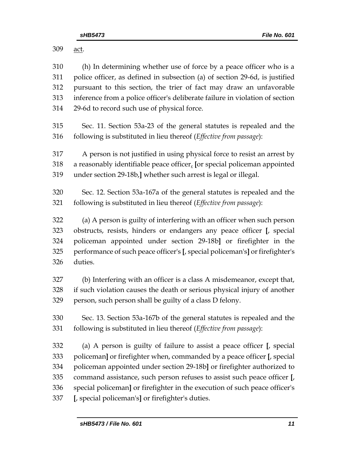act. (h) In determining whether use of force by a peace officer who is a police officer, as defined in subsection (a) of section 29-6d, is justified pursuant to this section, the trier of fact may draw an unfavorable inference from a police officer's deliberate failure in violation of section 29-6d to record such use of physical force. Sec. 11. Section 53a-23 of the general statutes is repealed and the following is substituted in lieu thereof (*Effective from passage*): A person is not justified in using physical force to resist an arrest by a reasonably identifiable peace officer, **[**or special policeman appointed under section 29-18b,**]** whether such arrest is legal or illegal. Sec. 12. Section 53a-167a of the general statutes is repealed and the following is substituted in lieu thereof (*Effective from passage*): (a) A person is guilty of interfering with an officer when such person obstructs, resists, hinders or endangers any peace officer **[**, special policeman appointed under section 29-18b**]** or firefighter in the performance of such peace officer's **[**, special policeman's**]** or firefighter's duties. (b) Interfering with an officer is a class A misdemeanor, except that, if such violation causes the death or serious physical injury of another person, such person shall be guilty of a class D felony. Sec. 13. Section 53a-167b of the general statutes is repealed and the following is substituted in lieu thereof (*Effective from passage*): (a) A person is guilty of failure to assist a peace officer **[**, special policeman**]** or firefighter when, commanded by a peace officer **[**, special policeman appointed under section 29-18b**]** or firefighter authorized to command assistance, such person refuses to assist such peace officer **[**, special policeman**]** or firefighter in the execution of such peace officer's **[**, special policeman's**]** or firefighter's duties.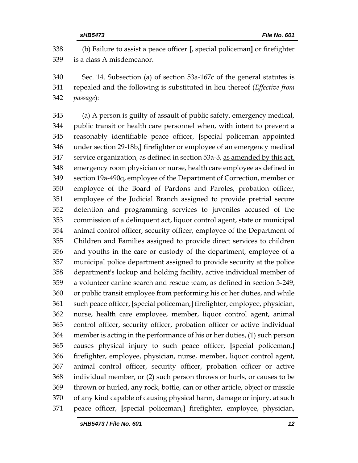(b) Failure to assist a peace officer **[**, special policeman**]** or firefighter is a class A misdemeanor.

 Sec. 14. Subsection (a) of section 53a-167c of the general statutes is repealed and the following is substituted in lieu thereof (*Effective from passage*):

 (a) A person is guilty of assault of public safety, emergency medical, public transit or health care personnel when, with intent to prevent a reasonably identifiable peace officer, **[**special policeman appointed under section 29-18b,**]** firefighter or employee of an emergency medical service organization, as defined in section 53a-3, as amended by this act, emergency room physician or nurse, health care employee as defined in section 19a-490q, employee of the Department of Correction, member or employee of the Board of Pardons and Paroles, probation officer, employee of the Judicial Branch assigned to provide pretrial secure detention and programming services to juveniles accused of the commission of a delinquent act, liquor control agent, state or municipal animal control officer, security officer, employee of the Department of Children and Families assigned to provide direct services to children and youths in the care or custody of the department, employee of a municipal police department assigned to provide security at the police department's lockup and holding facility, active individual member of a volunteer canine search and rescue team, as defined in section 5-249, or public transit employee from performing his or her duties, and while such peace officer, **[**special policeman,**]** firefighter, employee, physician, nurse, health care employee, member, liquor control agent, animal control officer, security officer, probation officer or active individual member is acting in the performance of his or her duties, (1) such person causes physical injury to such peace officer, **[**special policeman,**]** firefighter, employee, physician, nurse, member, liquor control agent, animal control officer, security officer, probation officer or active individual member, or (2) such person throws or hurls, or causes to be thrown or hurled, any rock, bottle, can or other article, object or missile of any kind capable of causing physical harm, damage or injury, at such peace officer, **[**special policeman,**]** firefighter, employee, physician,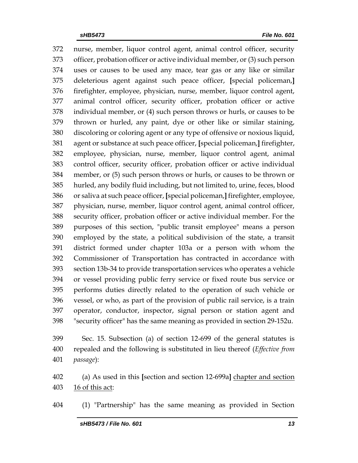nurse, member, liquor control agent, animal control officer, security officer, probation officer or active individual member, or (3) such person uses or causes to be used any mace, tear gas or any like or similar deleterious agent against such peace officer, **[**special policeman,**]** firefighter, employee, physician, nurse, member, liquor control agent, animal control officer, security officer, probation officer or active individual member, or (4) such person throws or hurls, or causes to be thrown or hurled, any paint, dye or other like or similar staining, discoloring or coloring agent or any type of offensive or noxious liquid, agent or substance at such peace officer, **[**special policeman,**]** firefighter, employee, physician, nurse, member, liquor control agent, animal control officer, security officer, probation officer or active individual member, or (5) such person throws or hurls, or causes to be thrown or hurled, any bodily fluid including, but not limited to, urine, feces, blood or saliva at such peace officer, **[**special policeman,**]** firefighter, employee, physician, nurse, member, liquor control agent, animal control officer, security officer, probation officer or active individual member. For the purposes of this section, "public transit employee" means a person employed by the state, a political subdivision of the state, a transit district formed under chapter 103a or a person with whom the Commissioner of Transportation has contracted in accordance with section 13b-34 to provide transportation services who operates a vehicle or vessel providing public ferry service or fixed route bus service or performs duties directly related to the operation of such vehicle or vessel, or who, as part of the provision of public rail service, is a train operator, conductor, inspector, signal person or station agent and "security officer" has the same meaning as provided in section 29-152u.

 Sec. 15. Subsection (a) of section 12-699 of the general statutes is repealed and the following is substituted in lieu thereof (*Effective from passage*):

 (a) As used in this **[**section and section 12-699a**]** chapter and section 16 of this act:

(1) "Partnership" has the same meaning as provided in Section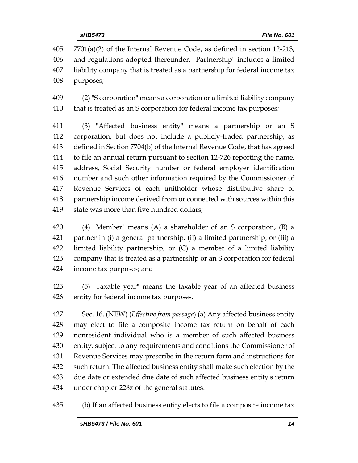7701(a)(2) of the Internal Revenue Code, as defined in section 12-213, and regulations adopted thereunder. "Partnership" includes a limited liability company that is treated as a partnership for federal income tax purposes;

 (2) "S corporation" means a corporation or a limited liability company that is treated as an S corporation for federal income tax purposes;

 (3) "Affected business entity" means a partnership or an S corporation, but does not include a publicly-traded partnership, as defined in Section 7704(b) of the Internal Revenue Code, that has agreed to file an annual return pursuant to section 12-726 reporting the name, address, Social Security number or federal employer identification number and such other information required by the Commissioner of Revenue Services of each unitholder whose distributive share of partnership income derived from or connected with sources within this state was more than five hundred dollars;

 (4) "Member" means (A) a shareholder of an S corporation, (B) a partner in (i) a general partnership, (ii) a limited partnership, or (iii) a limited liability partnership, or (C) a member of a limited liability company that is treated as a partnership or an S corporation for federal income tax purposes; and

 (5) "Taxable year" means the taxable year of an affected business entity for federal income tax purposes.

 Sec. 16. (NEW) (*Effective from passage*) (a) Any affected business entity may elect to file a composite income tax return on behalf of each nonresident individual who is a member of such affected business entity, subject to any requirements and conditions the Commissioner of Revenue Services may prescribe in the return form and instructions for such return. The affected business entity shall make such election by the due date or extended due date of such affected business entity's return under chapter 228z of the general statutes.

(b) If an affected business entity elects to file a composite income tax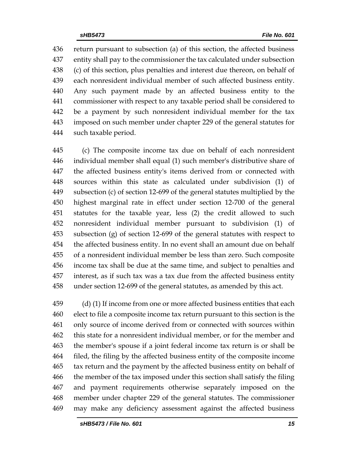return pursuant to subsection (a) of this section, the affected business entity shall pay to the commissioner the tax calculated under subsection (c) of this section, plus penalties and interest due thereon, on behalf of each nonresident individual member of such affected business entity. Any such payment made by an affected business entity to the commissioner with respect to any taxable period shall be considered to be a payment by such nonresident individual member for the tax imposed on such member under chapter 229 of the general statutes for such taxable period.

 (c) The composite income tax due on behalf of each nonresident individual member shall equal (1) such member's distributive share of the affected business entity's items derived from or connected with sources within this state as calculated under subdivision (1) of subsection (c) of section 12-699 of the general statutes multiplied by the highest marginal rate in effect under section 12-700 of the general statutes for the taxable year, less (2) the credit allowed to such nonresident individual member pursuant to subdivision (1) of subsection (g) of section 12-699 of the general statutes with respect to the affected business entity. In no event shall an amount due on behalf of a nonresident individual member be less than zero. Such composite income tax shall be due at the same time, and subject to penalties and interest, as if such tax was a tax due from the affected business entity under section 12-699 of the general statutes, as amended by this act.

 (d) (1) If income from one or more affected business entities that each elect to file a composite income tax return pursuant to this section is the only source of income derived from or connected with sources within this state for a nonresident individual member, or for the member and the member's spouse if a joint federal income tax return is or shall be filed, the filing by the affected business entity of the composite income tax return and the payment by the affected business entity on behalf of the member of the tax imposed under this section shall satisfy the filing and payment requirements otherwise separately imposed on the member under chapter 229 of the general statutes. The commissioner may make any deficiency assessment against the affected business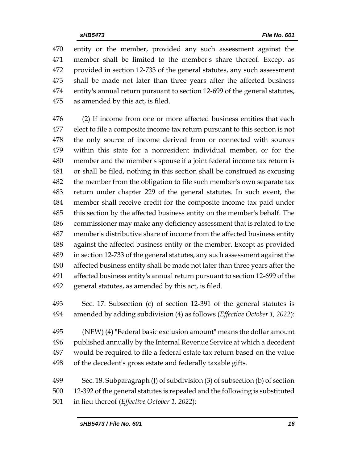entity or the member, provided any such assessment against the member shall be limited to the member's share thereof. Except as provided in section 12-733 of the general statutes, any such assessment shall be made not later than three years after the affected business entity's annual return pursuant to section 12-699 of the general statutes, as amended by this act, is filed.

 (2) If income from one or more affected business entities that each elect to file a composite income tax return pursuant to this section is not the only source of income derived from or connected with sources within this state for a nonresident individual member, or for the member and the member's spouse if a joint federal income tax return is or shall be filed, nothing in this section shall be construed as excusing 482 the member from the obligation to file such member's own separate tax return under chapter 229 of the general statutes. In such event, the member shall receive credit for the composite income tax paid under this section by the affected business entity on the member's behalf. The commissioner may make any deficiency assessment that is related to the member's distributive share of income from the affected business entity against the affected business entity or the member. Except as provided in section 12-733 of the general statutes, any such assessment against the affected business entity shall be made not later than three years after the affected business entity's annual return pursuant to section 12-699 of the general statutes, as amended by this act, is filed.

- Sec. 17. Subsection (c) of section 12-391 of the general statutes is amended by adding subdivision (4) as follows (*Effective October 1, 2022*):
- (NEW) (4) "Federal basic exclusion amount" means the dollar amount published annually by the Internal Revenue Service at which a decedent would be required to file a federal estate tax return based on the value of the decedent's gross estate and federally taxable gifts.
- Sec. 18. Subparagraph (J) of subdivision (3) of subsection (b) of section 12-392 of the general statutes is repealed and the following is substituted in lieu thereof (*Effective October 1, 2022*):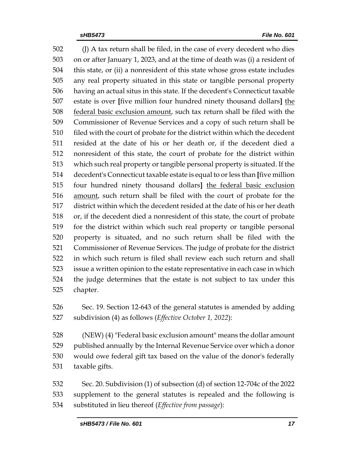502 (J) A tax return shall be filed, in the case of every decedent who dies on or after January 1, 2023, and at the time of death was (i) a resident of this state, or (ii) a nonresident of this state whose gross estate includes any real property situated in this state or tangible personal property having an actual situs in this state. If the decedent's Connecticut taxable estate is over **[**five million four hundred ninety thousand dollars**]** the federal basic exclusion amount, such tax return shall be filed with the Commissioner of Revenue Services and a copy of such return shall be 510 filed with the court of probate for the district within which the decedent resided at the date of his or her death or, if the decedent died a nonresident of this state, the court of probate for the district within which such real property or tangible personal property is situated. If the decedent's Connecticut taxable estate is equal to or less than **[**five million four hundred ninety thousand dollars**]** the federal basic exclusion amount, such return shall be filed with the court of probate for the district within which the decedent resided at the date of his or her death or, if the decedent died a nonresident of this state, the court of probate for the district within which such real property or tangible personal property is situated, and no such return shall be filed with the Commissioner of Revenue Services. The judge of probate for the district in which such return is filed shall review each such return and shall issue a written opinion to the estate representative in each case in which the judge determines that the estate is not subject to tax under this chapter.

 Sec. 19. Section 12-643 of the general statutes is amended by adding subdivision (4) as follows (*Effective October 1, 2022*):

 (NEW) (4) "Federal basic exclusion amount" means the dollar amount published annually by the Internal Revenue Service over which a donor would owe federal gift tax based on the value of the donor's federally taxable gifts.

 Sec. 20. Subdivision (1) of subsection (d) of section 12-704c of the 2022 supplement to the general statutes is repealed and the following is substituted in lieu thereof (*Effective from passage*):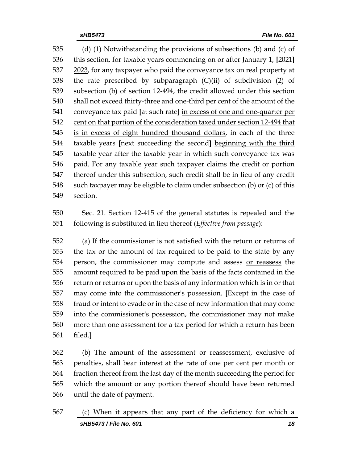(d) (1) Notwithstanding the provisions of subsections (b) and (c) of this section, for taxable years commencing on or after January 1, **[**2021**]** 2023, for any taxpayer who paid the conveyance tax on real property at the rate prescribed by subparagraph (C)(ii) of subdivision (2) of subsection (b) of section 12-494, the credit allowed under this section shall not exceed thirty-three and one-third per cent of the amount of the conveyance tax paid **[**at such rate**]** in excess of one and one-quarter per cent on that portion of the consideration taxed under section 12-494 that is in excess of eight hundred thousand dollars, in each of the three taxable years **[**next succeeding the second**]** beginning with the third taxable year after the taxable year in which such conveyance tax was paid. For any taxable year such taxpayer claims the credit or portion thereof under this subsection, such credit shall be in lieu of any credit such taxpayer may be eligible to claim under subsection (b) or (c) of this section.

 Sec. 21. Section 12-415 of the general statutes is repealed and the following is substituted in lieu thereof (*Effective from passage*):

 (a) If the commissioner is not satisfied with the return or returns of the tax or the amount of tax required to be paid to the state by any person, the commissioner may compute and assess or reassess the amount required to be paid upon the basis of the facts contained in the return or returns or upon the basis of any information which is in or that may come into the commissioner's possession. **[**Except in the case of fraud or intent to evade or in the case of new information that may come into the commissioner's possession, the commissioner may not make more than one assessment for a tax period for which a return has been filed.**]**

 (b) The amount of the assessment or reassessment, exclusive of penalties, shall bear interest at the rate of one per cent per month or fraction thereof from the last day of the month succeeding the period for which the amount or any portion thereof should have been returned until the date of payment.

*sHB5473 / File No. 601 18* (c) When it appears that any part of the deficiency for which a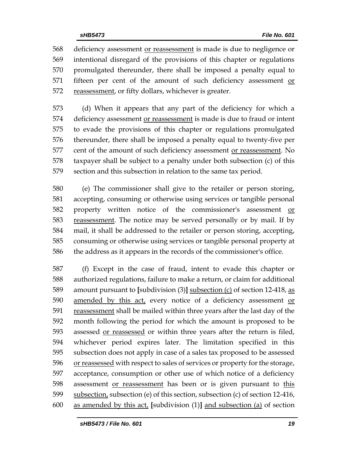deficiency assessment or reassessment is made is due to negligence or intentional disregard of the provisions of this chapter or regulations promulgated thereunder, there shall be imposed a penalty equal to fifteen per cent of the amount of such deficiency assessment or 572 reassessment, or fifty dollars, whichever is greater.

 (d) When it appears that any part of the deficiency for which a deficiency assessment or reassessment is made is due to fraud or intent to evade the provisions of this chapter or regulations promulgated thereunder, there shall be imposed a penalty equal to twenty-five per cent of the amount of such deficiency assessment or reassessment. No taxpayer shall be subject to a penalty under both subsection (c) of this section and this subsection in relation to the same tax period.

 (e) The commissioner shall give to the retailer or person storing, accepting, consuming or otherwise using services or tangible personal property written notice of the commissioner's assessment or reassessment. The notice may be served personally or by mail. If by mail, it shall be addressed to the retailer or person storing, accepting, consuming or otherwise using services or tangible personal property at the address as it appears in the records of the commissioner's office.

 (f) Except in the case of fraud, intent to evade this chapter or authorized regulations, failure to make a return, or claim for additional amount pursuant to **[**subdivision (3)**]** subsection (c) of section 12-418, as amended by this act, every notice of a deficiency assessment or reassessment shall be mailed within three years after the last day of the month following the period for which the amount is proposed to be assessed or reassessed or within three years after the return is filed, whichever period expires later. The limitation specified in this subsection does not apply in case of a sales tax proposed to be assessed 596 or reassessed with respect to sales of services or property for the storage, acceptance, consumption or other use of which notice of a deficiency assessment or reassessment has been or is given pursuant to this subsection, subsection (e) of this section, subsection (c) of section 12-416, as amended by this act, **[**subdivision (1)**]** and subsection (a) of section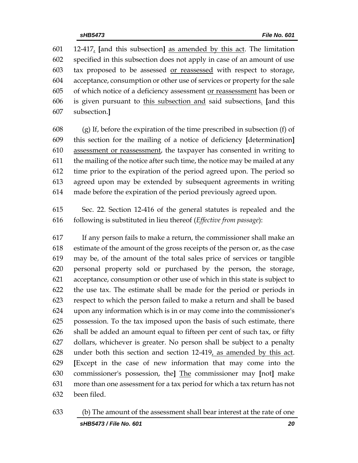12-417, **[**and this subsection**]** as amended by this act. The limitation specified in this subsection does not apply in case of an amount of use tax proposed to be assessed or reassessed with respect to storage, acceptance, consumption or other use of services or property for the sale of which notice of a deficiency assessment or reassessment has been or is given pursuant to this subsection and said subsections. **[**and this subsection.**]**

 (g) If, before the expiration of the time prescribed in subsection (f) of this section for the mailing of a notice of deficiency **[**determination**]** assessment or reassessment, the taxpayer has consented in writing to the mailing of the notice after such time, the notice may be mailed at any time prior to the expiration of the period agreed upon. The period so agreed upon may be extended by subsequent agreements in writing made before the expiration of the period previously agreed upon.

 Sec. 22. Section 12-416 of the general statutes is repealed and the following is substituted in lieu thereof (*Effective from passage*):

 If any person fails to make a return, the commissioner shall make an estimate of the amount of the gross receipts of the person or, as the case may be, of the amount of the total sales price of services or tangible personal property sold or purchased by the person, the storage, acceptance, consumption or other use of which in this state is subject to the use tax. The estimate shall be made for the period or periods in respect to which the person failed to make a return and shall be based upon any information which is in or may come into the commissioner's possession. To the tax imposed upon the basis of such estimate, there shall be added an amount equal to fifteen per cent of such tax, or fifty dollars, whichever is greater. No person shall be subject to a penalty 628 under both this section and section  $12-419$ , as amended by this act. **[**Except in the case of new information that may come into the commissioner's possession, the**]** The commissioner may **[**not**]** make more than one assessment for a tax period for which a tax return has not been filed.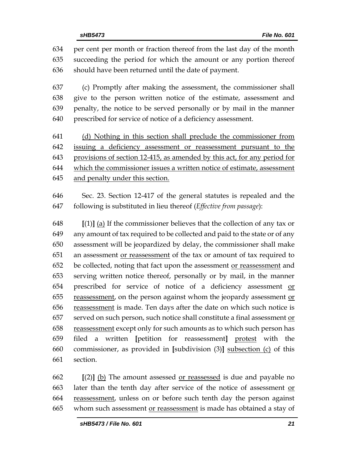per cent per month or fraction thereof from the last day of the month succeeding the period for which the amount or any portion thereof should have been returned until the date of payment.

 (c) Promptly after making the assessment, the commissioner shall give to the person written notice of the estimate, assessment and penalty, the notice to be served personally or by mail in the manner prescribed for service of notice of a deficiency assessment.

 (d) Nothing in this section shall preclude the commissioner from issuing a deficiency assessment or reassessment pursuant to the provisions of section 12-415, as amended by this act, for any period for which the commissioner issues a written notice of estimate, assessment and penalty under this section.

 Sec. 23. Section 12-417 of the general statutes is repealed and the following is substituted in lieu thereof (*Effective from passage*):

 **[**(1)**]** (a) If the commissioner believes that the collection of any tax or any amount of tax required to be collected and paid to the state or of any assessment will be jeopardized by delay, the commissioner shall make an assessment or reassessment of the tax or amount of tax required to 652 be collected, noting that fact upon the assessment or reassessment and serving written notice thereof, personally or by mail, in the manner prescribed for service of notice of a deficiency assessment or reassessment, on the person against whom the jeopardy assessment or 656 reassessment is made. Ten days after the date on which such notice is 657 served on such person, such notice shall constitute a final assessment or reassessment except only for such amounts as to which such person has filed a written **[**petition for reassessment**]** protest with the commissioner, as provided in **[**subdivision (3)**]** subsection (c) of this section.

 **[**(2)**]** (b) The amount assessed or reassessed is due and payable no later than the tenth day after service of the notice of assessment or 664 reassessment, unless on or before such tenth day the person against 665 whom such assessment or reassessment is made has obtained a stay of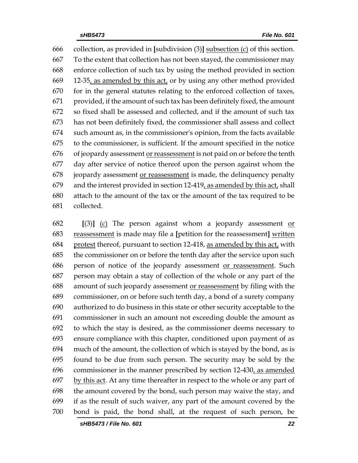collection, as provided in **[**subdivision (3)**]** subsection (c) of this section. To the extent that collection has not been stayed, the commissioner may enforce collection of such tax by using the method provided in section 12-35, as amended by this act, or by using any other method provided for in the general statutes relating to the enforced collection of taxes, provided, if the amount of such tax has been definitely fixed, the amount so fixed shall be assessed and collected, and if the amount of such tax has not been definitely fixed, the commissioner shall assess and collect such amount as, in the commissioner's opinion, from the facts available to the commissioner, is sufficient. If the amount specified in the notice 676 of jeopardy assessment or reassessment is not paid on or before the tenth day after service of notice thereof upon the person against whom the 678 jeopardy assessment or reassessment is made, the delinquency penalty 679 and the interest provided in section  $12-419$ , as amended by this act, shall attach to the amount of the tax or the amount of the tax required to be collected.

 **[**(3)**]** (c) The person against whom a jeopardy assessment or reassessment is made may file a **[**petition for the reassessment**]** written protest thereof, pursuant to section 12-418, as amended by this act, with the commissioner on or before the tenth day after the service upon such person of notice of the jeopardy assessment or reassessment. Such person may obtain a stay of collection of the whole or any part of the amount of such jeopardy assessment or reassessment by filing with the commissioner, on or before such tenth day, a bond of a surety company authorized to do business in this state or other security acceptable to the commissioner in such an amount not exceeding double the amount as to which the stay is desired, as the commissioner deems necessary to ensure compliance with this chapter, conditioned upon payment of as much of the amount, the collection of which is stayed by the bond, as is found to be due from such person. The security may be sold by the commissioner in the manner prescribed by section 12-430, as amended by this act. At any time thereafter in respect to the whole or any part of the amount covered by the bond, such person may waive the stay, and if as the result of such waiver, any part of the amount covered by the bond is paid, the bond shall, at the request of such person, be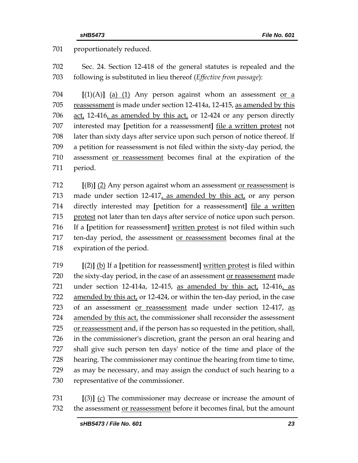proportionately reduced.

 Sec. 24. Section 12-418 of the general statutes is repealed and the following is substituted in lieu thereof (*Effective from passage*):

 **[**(1)(A)**]** (a) (1) Any person against whom an assessment or a 705 reassessment is made under section 12-414a, 12-415, as amended by this 706 act, 12-416, as amended by this act, or 12-424 or any person directly interested may **[**petition for a reassessment**]** file a written protest not later than sixty days after service upon such person of notice thereof. If a petition for reassessment is not filed within the sixty-day period, the assessment or reassessment becomes final at the expiration of the period.

 **[**(B)**]** (2) Any person against whom an assessment or reassessment is 713 made under section 12-417, as amended by this act, or any person directly interested may **[**petition for a reassessment**]** file a written protest not later than ten days after service of notice upon such person. If a **[**petition for reassessment**]** written protest is not filed within such ten-day period, the assessment or reassessment becomes final at the expiration of the period.

 **[**(2)**]** (b) If a **[**petition for reassessment**]** written protest is filed within 720 the sixty-day period, in the case of an assessment or reassessment made under section 12-414a, 12-415, as amended by this act, 12-416, as amended by this act, or 12-424, or within the ten-day period, in the case 723 of an assessment or reassessment made under section 12-417, as amended by this act, the commissioner shall reconsider the assessment or reassessment and, if the person has so requested in the petition, shall, in the commissioner's discretion, grant the person an oral hearing and shall give such person ten days' notice of the time and place of the hearing. The commissioner may continue the hearing from time to time, as may be necessary, and may assign the conduct of such hearing to a representative of the commissioner.

 **[**(3)**]** (c) The commissioner may decrease or increase the amount of the assessment or reassessment before it becomes final, but the amount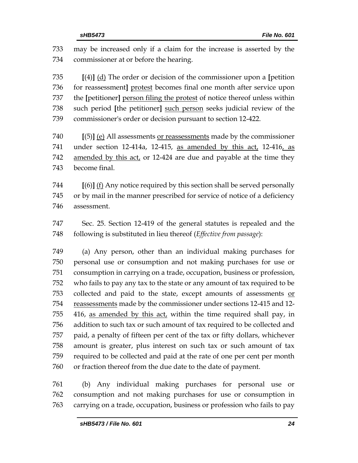| 733 | may be increased only if a claim for the increase is asserted by the       |  |  |  |
|-----|----------------------------------------------------------------------------|--|--|--|
| 734 | commissioner at or before the hearing.                                     |  |  |  |
| 735 | $[(4)]$ (d) The order or decision of the commissioner upon a [petition     |  |  |  |
| 736 | for reassessment] protest becomes final one month after service upon       |  |  |  |
| 737 | the [petitioner] person filing the protest of notice thereof unless within |  |  |  |
| 738 | such period [the petitioner] such person seeks judicial review of the      |  |  |  |
| 739 | commissioner's order or decision pursuant to section 12-422.               |  |  |  |
| 740 | $[5]$ (e) All assessments or reassessments made by the commissioner        |  |  |  |
| 741 | under section 12-414a, 12-415, as amended by this act, 12-416, as          |  |  |  |
| 742 | amended by this act, or 12-424 are due and payable at the time they        |  |  |  |
| 743 | become final.                                                              |  |  |  |
| 744 | $[(6)]$ (f) Any notice required by this section shall be served personally |  |  |  |
| 745 | or by mail in the manner prescribed for service of notice of a deficiency  |  |  |  |
| 746 | assessment.                                                                |  |  |  |
| 747 | Sec. 25. Section 12-419 of the general statutes is repealed and the        |  |  |  |
| 748 | following is substituted in lieu thereof (Effective from passage):         |  |  |  |
| 749 | (a) Any person, other than an individual making purchases for              |  |  |  |
| 750 | personal use or consumption and not making purchases for use or            |  |  |  |
| 751 | consumption in carrying on a trade, occupation, business or profession,    |  |  |  |
| 752 | who fails to pay any tax to the state or any amount of tax required to be  |  |  |  |
| 753 | collected and paid to the state, except amounts of assessments or          |  |  |  |
| 754 | reassessments made by the commissioner under sections 12-415 and 12-       |  |  |  |
| 755 | 416, as amended by this act, within the time required shall pay, in        |  |  |  |
| 756 | addition to such tax or such amount of tax required to be collected and    |  |  |  |
| 757 | paid, a penalty of fifteen per cent of the tax or fifty dollars, whichever |  |  |  |
| 758 | amount is greater, plus interest on such tax or such amount of tax         |  |  |  |
| 759 | required to be collected and paid at the rate of one per cent per month    |  |  |  |
| 760 | or fraction thereof from the due date to the date of payment.              |  |  |  |
| 761 | Any individual making purchases for personal use<br>(b)<br>or              |  |  |  |

 consumption and not making purchases for use or consumption in carrying on a trade, occupation, business or profession who fails to pay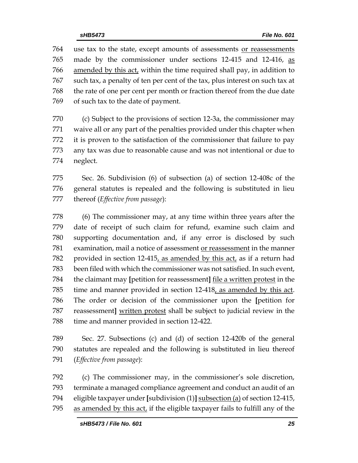use tax to the state, except amounts of assessments or reassessments made by the commissioner under sections 12-415 and 12-416, as amended by this act, within the time required shall pay, in addition to such tax, a penalty of ten per cent of the tax, plus interest on such tax at the rate of one per cent per month or fraction thereof from the due date of such tax to the date of payment.

 (c) Subject to the provisions of section 12-3a, the commissioner may waive all or any part of the penalties provided under this chapter when it is proven to the satisfaction of the commissioner that failure to pay any tax was due to reasonable cause and was not intentional or due to neglect.

 Sec. 26. Subdivision (6) of subsection (a) of section 12-408c of the general statutes is repealed and the following is substituted in lieu thereof (*Effective from passage*):

 (6) The commissioner may, at any time within three years after the date of receipt of such claim for refund, examine such claim and supporting documentation and, if any error is disclosed by such examination, mail a notice of assessment or reassessment in the manner provided in section 12-415, as amended by this act, as if a return had been filed with which the commissioner was not satisfied. In such event, the claimant may **[**petition for reassessment**]** file a written protest in the time and manner provided in section 12-418, as amended by this act. The order or decision of the commissioner upon the **[**petition for reassessment**]** written protest shall be subject to judicial review in the time and manner provided in section 12-422.

 Sec. 27. Subsections (c) and (d) of section 12-420b of the general statutes are repealed and the following is substituted in lieu thereof (*Effective from passage*):

 (c) The commissioner may, in the commissioner's sole discretion, terminate a managed compliance agreement and conduct an audit of an eligible taxpayer under **[**subdivision (1)**]** subsection (a) of section 12-415, as amended by this act, if the eligible taxpayer fails to fulfill any of the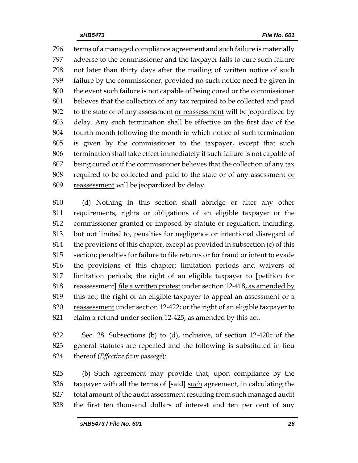terms of a managed compliance agreement and such failure is materially adverse to the commissioner and the taxpayer fails to cure such failure not later than thirty days after the mailing of written notice of such failure by the commissioner, provided no such notice need be given in the event such failure is not capable of being cured or the commissioner believes that the collection of any tax required to be collected and paid to the state or of any assessment or reassessment will be jeopardized by delay. Any such termination shall be effective on the first day of the fourth month following the month in which notice of such termination is given by the commissioner to the taxpayer, except that such termination shall take effect immediately if such failure is not capable of being cured or if the commissioner believes that the collection of any tax 808 required to be collected and paid to the state or of any assessment or reassessment will be jeopardized by delay.

 (d) Nothing in this section shall abridge or alter any other requirements, rights or obligations of an eligible taxpayer or the commissioner granted or imposed by statute or regulation, including, but not limited to, penalties for negligence or intentional disregard of the provisions of this chapter, except as provided in subsection (c) of this section; penalties for failure to file returns or for fraud or intent to evade the provisions of this chapter; limitation periods and waivers of limitation periods; the right of an eligible taxpayer to **[**petition for reassessment**]** file a written protest under section 12-418, as amended by this act; the right of an eligible taxpayer to appeal an assessment or a reassessment under section 12-422; or the right of an eligible taxpayer to 821 claim a refund under section 12-425, as amended by this act.

 Sec. 28. Subsections (b) to (d), inclusive, of section 12-420c of the general statutes are repealed and the following is substituted in lieu thereof (*Effective from passage*):

 (b) Such agreement may provide that, upon compliance by the taxpayer with all the terms of **[**said**]** such agreement, in calculating the total amount of the audit assessment resulting from such managed audit the first ten thousand dollars of interest and ten per cent of any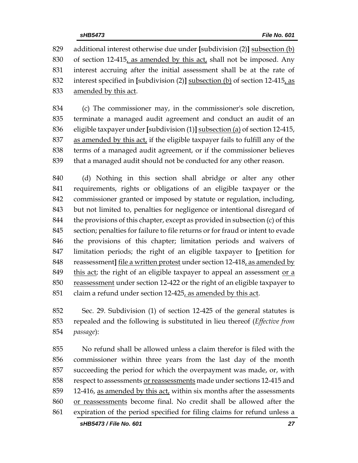additional interest otherwise due under **[**subdivision (2)**]** subsection (b) of section 12-415, as amended by this act, shall not be imposed. Any interest accruing after the initial assessment shall be at the rate of interest specified in **[**subdivision (2)**]** subsection (b) of section 12-415, as amended by this act.

 (c) The commissioner may, in the commissioner's sole discretion, terminate a managed audit agreement and conduct an audit of an eligible taxpayer under **[**subdivision (1)**]** subsection (a) of section 12-415, as amended by this act, if the eligible taxpayer fails to fulfill any of the terms of a managed audit agreement, or if the commissioner believes that a managed audit should not be conducted for any other reason.

 (d) Nothing in this section shall abridge or alter any other requirements, rights or obligations of an eligible taxpayer or the commissioner granted or imposed by statute or regulation, including, but not limited to, penalties for negligence or intentional disregard of the provisions of this chapter, except as provided in subsection (c) of this section; penalties for failure to file returns or for fraud or intent to evade the provisions of this chapter; limitation periods and waivers of limitation periods; the right of an eligible taxpayer to **[**petition for reassessment**]** file a written protest under section 12-418, as amended by 849 this act; the right of an eligible taxpayer to appeal an assessment or a reassessment under section 12-422 or the right of an eligible taxpayer to claim a refund under section 12-425, as amended by this act.

 Sec. 29. Subdivision (1) of section 12-425 of the general statutes is repealed and the following is substituted in lieu thereof (*Effective from passage*):

 No refund shall be allowed unless a claim therefor is filed with the commissioner within three years from the last day of the month succeeding the period for which the overpayment was made, or, with respect to assessments or reassessments made under sections 12-415 and 859 12-416, as amended by this act, within six months after the assessments or reassessments become final. No credit shall be allowed after the expiration of the period specified for filing claims for refund unless a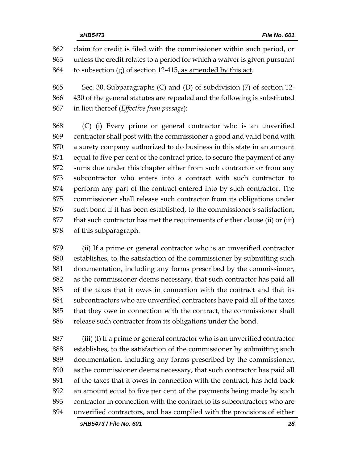claim for credit is filed with the commissioner within such period, or unless the credit relates to a period for which a waiver is given pursuant 864 to subsection (g) of section 12-415, as amended by this act.

 Sec. 30. Subparagraphs (C) and (D) of subdivision (7) of section 12- 430 of the general statutes are repealed and the following is substituted in lieu thereof (*Effective from passage*):

 (C) (i) Every prime or general contractor who is an unverified contractor shall post with the commissioner a good and valid bond with a surety company authorized to do business in this state in an amount equal to five per cent of the contract price, to secure the payment of any sums due under this chapter either from such contractor or from any subcontractor who enters into a contract with such contractor to perform any part of the contract entered into by such contractor. The commissioner shall release such contractor from its obligations under such bond if it has been established, to the commissioner's satisfaction, that such contractor has met the requirements of either clause (ii) or (iii) of this subparagraph.

 (ii) If a prime or general contractor who is an unverified contractor establishes, to the satisfaction of the commissioner by submitting such documentation, including any forms prescribed by the commissioner, as the commissioner deems necessary, that such contractor has paid all of the taxes that it owes in connection with the contract and that its subcontractors who are unverified contractors have paid all of the taxes that they owe in connection with the contract, the commissioner shall 886 release such contractor from its obligations under the bond.

 (iii) (I) If a prime or general contractor who is an unverified contractor establishes, to the satisfaction of the commissioner by submitting such documentation, including any forms prescribed by the commissioner, as the commissioner deems necessary, that such contractor has paid all of the taxes that it owes in connection with the contract, has held back an amount equal to five per cent of the payments being made by such contractor in connection with the contract to its subcontractors who are unverified contractors, and has complied with the provisions of either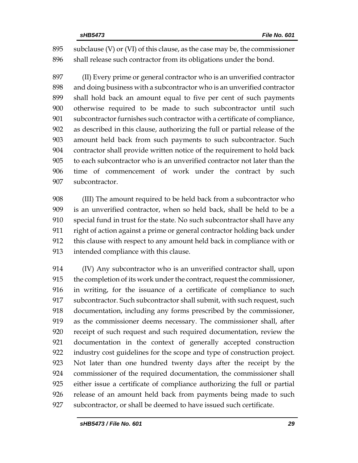subclause (V) or (VI) of this clause, as the case may be, the commissioner shall release such contractor from its obligations under the bond.

 (II) Every prime or general contractor who is an unverified contractor and doing business with a subcontractor who is an unverified contractor shall hold back an amount equal to five per cent of such payments otherwise required to be made to such subcontractor until such subcontractor furnishes such contractor with a certificate of compliance, as described in this clause, authorizing the full or partial release of the amount held back from such payments to such subcontractor. Such contractor shall provide written notice of the requirement to hold back to each subcontractor who is an unverified contractor not later than the time of commencement of work under the contract by such subcontractor.

 (III) The amount required to be held back from a subcontractor who is an unverified contractor, when so held back, shall be held to be a special fund in trust for the state. No such subcontractor shall have any right of action against a prime or general contractor holding back under this clause with respect to any amount held back in compliance with or intended compliance with this clause.

 (IV) Any subcontractor who is an unverified contractor shall, upon the completion of its work under the contract, request the commissioner, in writing, for the issuance of a certificate of compliance to such subcontractor. Such subcontractor shall submit, with such request, such documentation, including any forms prescribed by the commissioner, as the commissioner deems necessary. The commissioner shall, after receipt of such request and such required documentation, review the documentation in the context of generally accepted construction industry cost guidelines for the scope and type of construction project. Not later than one hundred twenty days after the receipt by the commissioner of the required documentation, the commissioner shall either issue a certificate of compliance authorizing the full or partial release of an amount held back from payments being made to such subcontractor, or shall be deemed to have issued such certificate.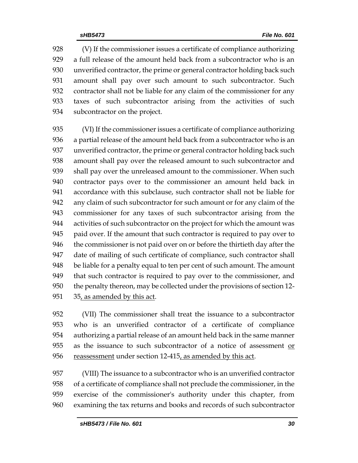(V) If the commissioner issues a certificate of compliance authorizing a full release of the amount held back from a subcontractor who is an unverified contractor, the prime or general contractor holding back such amount shall pay over such amount to such subcontractor. Such contractor shall not be liable for any claim of the commissioner for any taxes of such subcontractor arising from the activities of such subcontractor on the project.

 (VI) If the commissioner issues a certificate of compliance authorizing a partial release of the amount held back from a subcontractor who is an unverified contractor, the prime or general contractor holding back such amount shall pay over the released amount to such subcontractor and shall pay over the unreleased amount to the commissioner. When such contractor pays over to the commissioner an amount held back in accordance with this subclause, such contractor shall not be liable for any claim of such subcontractor for such amount or for any claim of the commissioner for any taxes of such subcontractor arising from the activities of such subcontractor on the project for which the amount was paid over. If the amount that such contractor is required to pay over to the commissioner is not paid over on or before the thirtieth day after the date of mailing of such certificate of compliance, such contractor shall be liable for a penalty equal to ten per cent of such amount. The amount that such contractor is required to pay over to the commissioner, and the penalty thereon, may be collected under the provisions of section 12- 35, as amended by this act.

 (VII) The commissioner shall treat the issuance to a subcontractor who is an unverified contractor of a certificate of compliance authorizing a partial release of an amount held back in the same manner 955 as the issuance to such subcontractor of a notice of assessment or 956 reassessment under section 12-415, as amended by this act.

 (VIII) The issuance to a subcontractor who is an unverified contractor of a certificate of compliance shall not preclude the commissioner, in the exercise of the commissioner's authority under this chapter, from examining the tax returns and books and records of such subcontractor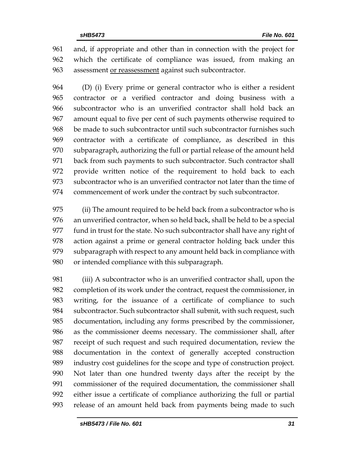and, if appropriate and other than in connection with the project for which the certificate of compliance was issued, from making an assessment or reassessment against such subcontractor.

 (D) (i) Every prime or general contractor who is either a resident contractor or a verified contractor and doing business with a subcontractor who is an unverified contractor shall hold back an amount equal to five per cent of such payments otherwise required to be made to such subcontractor until such subcontractor furnishes such contractor with a certificate of compliance, as described in this subparagraph, authorizing the full or partial release of the amount held back from such payments to such subcontractor. Such contractor shall provide written notice of the requirement to hold back to each subcontractor who is an unverified contractor not later than the time of commencement of work under the contract by such subcontractor.

 (ii) The amount required to be held back from a subcontractor who is an unverified contractor, when so held back, shall be held to be a special fund in trust for the state. No such subcontractor shall have any right of action against a prime or general contractor holding back under this subparagraph with respect to any amount held back in compliance with or intended compliance with this subparagraph.

 (iii) A subcontractor who is an unverified contractor shall, upon the completion of its work under the contract, request the commissioner, in writing, for the issuance of a certificate of compliance to such subcontractor. Such subcontractor shall submit, with such request, such documentation, including any forms prescribed by the commissioner, as the commissioner deems necessary. The commissioner shall, after receipt of such request and such required documentation, review the documentation in the context of generally accepted construction industry cost guidelines for the scope and type of construction project. Not later than one hundred twenty days after the receipt by the commissioner of the required documentation, the commissioner shall either issue a certificate of compliance authorizing the full or partial release of an amount held back from payments being made to such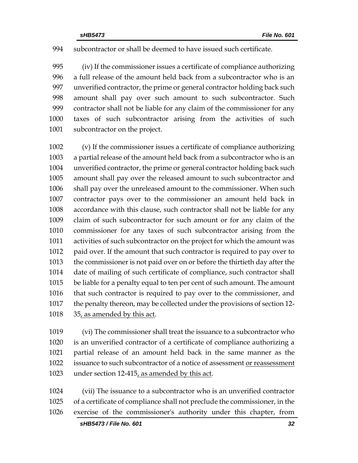#### subcontractor or shall be deemed to have issued such certificate.

 (iv) If the commissioner issues a certificate of compliance authorizing a full release of the amount held back from a subcontractor who is an unverified contractor, the prime or general contractor holding back such amount shall pay over such amount to such subcontractor. Such contractor shall not be liable for any claim of the commissioner for any taxes of such subcontractor arising from the activities of such 1001 subcontractor on the project.

 (v) If the commissioner issues a certificate of compliance authorizing a partial release of the amount held back from a subcontractor who is an unverified contractor, the prime or general contractor holding back such amount shall pay over the released amount to such subcontractor and shall pay over the unreleased amount to the commissioner. When such contractor pays over to the commissioner an amount held back in accordance with this clause, such contractor shall not be liable for any claim of such subcontractor for such amount or for any claim of the commissioner for any taxes of such subcontractor arising from the activities of such subcontractor on the project for which the amount was paid over. If the amount that such contractor is required to pay over to the commissioner is not paid over on or before the thirtieth day after the date of mailing of such certificate of compliance, such contractor shall be liable for a penalty equal to ten per cent of such amount. The amount that such contractor is required to pay over to the commissioner, and the penalty thereon, may be collected under the provisions of section 12- 35, as amended by this act.

 (vi) The commissioner shall treat the issuance to a subcontractor who is an unverified contractor of a certificate of compliance authorizing a partial release of an amount held back in the same manner as the 1022 issuance to such subcontractor of a notice of assessment or reassessment under section 12-415, as amended by this act.

 (vii) The issuance to a subcontractor who is an unverified contractor of a certificate of compliance shall not preclude the commissioner, in the exercise of the commissioner's authority under this chapter, from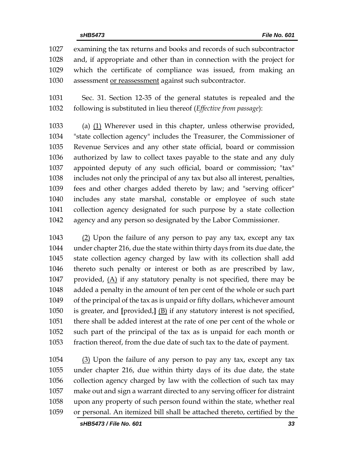examining the tax returns and books and records of such subcontractor and, if appropriate and other than in connection with the project for which the certificate of compliance was issued, from making an assessment or reassessment against such subcontractor.

 Sec. 31. Section 12-35 of the general statutes is repealed and the following is substituted in lieu thereof (*Effective from passage*):

 (a) (1) Wherever used in this chapter, unless otherwise provided, "state collection agency" includes the Treasurer, the Commissioner of Revenue Services and any other state official, board or commission authorized by law to collect taxes payable to the state and any duly appointed deputy of any such official, board or commission; "tax" includes not only the principal of any tax but also all interest, penalties, fees and other charges added thereto by law; and "serving officer" includes any state marshal, constable or employee of such state collection agency designated for such purpose by a state collection agency and any person so designated by the Labor Commissioner.

 (2) Upon the failure of any person to pay any tax, except any tax under chapter 216, due the state within thirty days from its due date, the state collection agency charged by law with its collection shall add thereto such penalty or interest or both as are prescribed by law, 1047 provided,  $(A)$  if any statutory penalty is not specified, there may be added a penalty in the amount of ten per cent of the whole or such part of the principal of the tax as is unpaid or fifty dollars, whichever amount is greater, and **[**provided,**]** (B) if any statutory interest is not specified, there shall be added interest at the rate of one per cent of the whole or such part of the principal of the tax as is unpaid for each month or fraction thereof, from the due date of such tax to the date of payment.

 (3) Upon the failure of any person to pay any tax, except any tax under chapter 216, due within thirty days of its due date, the state collection agency charged by law with the collection of such tax may make out and sign a warrant directed to any serving officer for distraint upon any property of such person found within the state, whether real or personal. An itemized bill shall be attached thereto, certified by the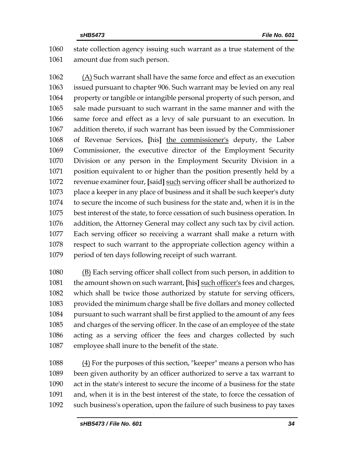state collection agency issuing such warrant as a true statement of the amount due from such person.

 (A) Such warrant shall have the same force and effect as an execution issued pursuant to chapter 906. Such warrant may be levied on any real property or tangible or intangible personal property of such person, and sale made pursuant to such warrant in the same manner and with the same force and effect as a levy of sale pursuant to an execution. In addition thereto, if such warrant has been issued by the Commissioner of Revenue Services, **[**his**]** the commissioner's deputy, the Labor Commissioner, the executive director of the Employment Security Division or any person in the Employment Security Division in a position equivalent to or higher than the position presently held by a revenue examiner four, **[**said**]** such serving officer shall be authorized to place a keeper in any place of business and it shall be such keeper's duty to secure the income of such business for the state and, when it is in the best interest of the state, to force cessation of such business operation. In addition, the Attorney General may collect any such tax by civil action. Each serving officer so receiving a warrant shall make a return with respect to such warrant to the appropriate collection agency within a period of ten days following receipt of such warrant.

 (B) Each serving officer shall collect from such person, in addition to the amount shown on such warrant, **[**his**]** such officer's fees and charges, which shall be twice those authorized by statute for serving officers, provided the minimum charge shall be five dollars and money collected pursuant to such warrant shall be first applied to the amount of any fees and charges of the serving officer. In the case of an employee of the state acting as a serving officer the fees and charges collected by such employee shall inure to the benefit of the state.

 (4) For the purposes of this section, "keeper" means a person who has been given authority by an officer authorized to serve a tax warrant to act in the state's interest to secure the income of a business for the state and, when it is in the best interest of the state, to force the cessation of such business's operation, upon the failure of such business to pay taxes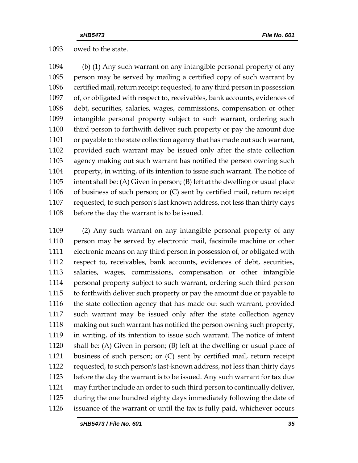owed to the state.

 (b) (1) Any such warrant on any intangible personal property of any person may be served by mailing a certified copy of such warrant by certified mail, return receipt requested, to any third person in possession of, or obligated with respect to, receivables, bank accounts, evidences of debt, securities, salaries, wages, commissions, compensation or other intangible personal property subject to such warrant, ordering such third person to forthwith deliver such property or pay the amount due or payable to the state collection agency that has made out such warrant, provided such warrant may be issued only after the state collection agency making out such warrant has notified the person owning such property, in writing, of its intention to issue such warrant. The notice of intent shall be: (A) Given in person; (B) left at the dwelling or usual place of business of such person; or (C) sent by certified mail, return receipt requested, to such person's last known address, not less than thirty days before the day the warrant is to be issued.

 (2) Any such warrant on any intangible personal property of any person may be served by electronic mail, facsimile machine or other electronic means on any third person in possession of, or obligated with respect to, receivables, bank accounts, evidences of debt, securities, salaries, wages, commissions, compensation or other intangible personal property subject to such warrant, ordering such third person to forthwith deliver such property or pay the amount due or payable to the state collection agency that has made out such warrant, provided such warrant may be issued only after the state collection agency making out such warrant has notified the person owning such property, in writing, of its intention to issue such warrant. The notice of intent shall be: (A) Given in person; (B) left at the dwelling or usual place of business of such person; or (C) sent by certified mail, return receipt requested, to such person's last-known address, not less than thirty days before the day the warrant is to be issued. Any such warrant for tax due may further include an order to such third person to continually deliver, during the one hundred eighty days immediately following the date of issuance of the warrant or until the tax is fully paid, whichever occurs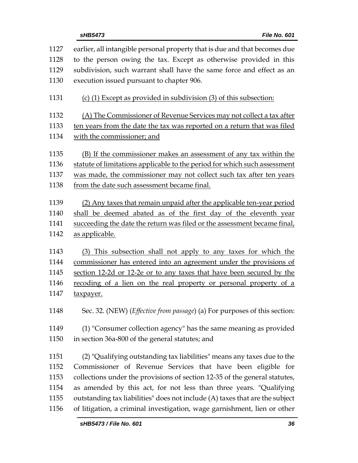| 1127 | earlier, all intangible personal property that is due and that becomes due         |
|------|------------------------------------------------------------------------------------|
| 1128 | to the person owing the tax. Except as otherwise provided in this                  |
| 1129 | subdivision, such warrant shall have the same force and effect as an               |
| 1130 | execution issued pursuant to chapter 906.                                          |
|      |                                                                                    |
| 1131 | (c) (1) Except as provided in subdivision (3) of this subsection:                  |
| 1132 | (A) The Commissioner of Revenue Services may not collect a tax after               |
| 1133 | ten years from the date the tax was reported on a return that was filed            |
| 1134 | with the commissioner; and                                                         |
|      |                                                                                    |
| 1135 | (B) If the commissioner makes an assessment of any tax within the                  |
| 1136 | statute of limitations applicable to the period for which such assessment          |
| 1137 | was made, the commissioner may not collect such tax after ten years                |
| 1138 | from the date such assessment became final.                                        |
| 1139 | (2) Any taxes that remain unpaid after the applicable ten-year period              |
| 1140 | shall be deemed abated as of the first day of the eleventh year                    |
| 1141 | succeeding the date the return was filed or the assessment became final,           |
| 1142 | as applicable.                                                                     |
|      |                                                                                    |
| 1143 | (3) This subsection shall not apply to any taxes for which the                     |
| 1144 | commissioner has entered into an agreement under the provisions of                 |
| 1145 | section 12-2d or 12-2e or to any taxes that have been secured by the               |
| 1146 | recoding of a lien on the real property or personal property of a                  |
|      |                                                                                    |
| 1147 | <u>taxpayer.</u>                                                                   |
|      |                                                                                    |
| 1148 | Sec. 32. (NEW) ( <i>Effective from passage</i> ) (a) For purposes of this section: |
| 1149 |                                                                                    |
| 1150 | (1) "Consumer collection agency" has the same meaning as provided                  |
|      | in section 36a-800 of the general statutes; and                                    |
| 1151 | (2) "Qualifying outstanding tax liabilities" means any taxes due to the            |
| 1152 | Commissioner of Revenue Services that have been eligible for                       |
| 1153 | collections under the provisions of section 12-35 of the general statutes,         |
| 1154 | as amended by this act, for not less than three years. "Qualifying                 |
| 1155 | outstanding tax liabilities" does not include (A) taxes that are the subject       |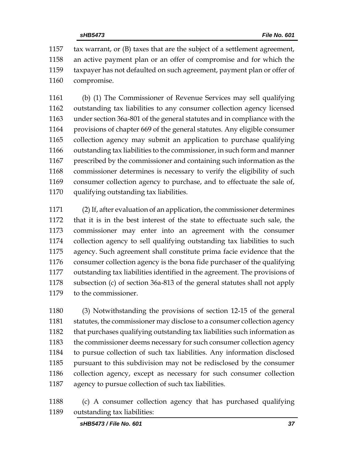tax warrant, or (B) taxes that are the subject of a settlement agreement, an active payment plan or an offer of compromise and for which the taxpayer has not defaulted on such agreement, payment plan or offer of compromise.

 (b) (1) The Commissioner of Revenue Services may sell qualifying outstanding tax liabilities to any consumer collection agency licensed under section 36a-801 of the general statutes and in compliance with the provisions of chapter 669 of the general statutes. Any eligible consumer collection agency may submit an application to purchase qualifying outstanding tax liabilities to the commissioner, in such form and manner prescribed by the commissioner and containing such information as the commissioner determines is necessary to verify the eligibility of such consumer collection agency to purchase, and to effectuate the sale of, qualifying outstanding tax liabilities.

 (2) If, after evaluation of an application, the commissioner determines that it is in the best interest of the state to effectuate such sale, the commissioner may enter into an agreement with the consumer collection agency to sell qualifying outstanding tax liabilities to such agency. Such agreement shall constitute prima facie evidence that the consumer collection agency is the bona fide purchaser of the qualifying outstanding tax liabilities identified in the agreement. The provisions of subsection (c) of section 36a-813 of the general statutes shall not apply to the commissioner.

 (3) Notwithstanding the provisions of section 12-15 of the general 1181 statutes, the commissioner may disclose to a consumer collection agency that purchases qualifying outstanding tax liabilities such information as 1183 the commissioner deems necessary for such consumer collection agency to pursue collection of such tax liabilities. Any information disclosed pursuant to this subdivision may not be redisclosed by the consumer collection agency, except as necessary for such consumer collection agency to pursue collection of such tax liabilities.

 (c) A consumer collection agency that has purchased qualifying outstanding tax liabilities: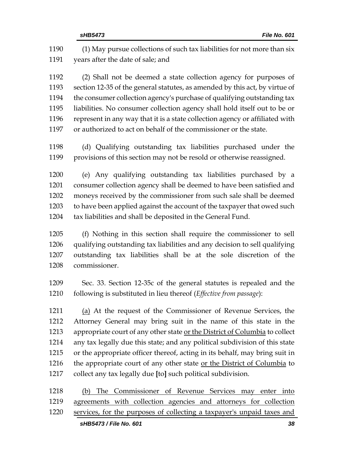|              | sHB5473 / File No. 601<br>38                                                                                                              |
|--------------|-------------------------------------------------------------------------------------------------------------------------------------------|
| 1220         | services, for the purposes of collecting a taxpayer's unpaid taxes and                                                                    |
| 1219         | agreements with collection agencies and attorneys for collection                                                                          |
| 1218         | The Commissioner of Revenue Services may enter into<br>(b)                                                                                |
| 1217         | collect any tax legally due [to] such political subdivision.                                                                              |
| 1216         | the appropriate court of any other state or the District of Columbia to                                                                   |
| 1215         | or the appropriate officer thereof, acting in its behalf, may bring suit in                                                               |
| 1214         | any tax legally due this state; and any political subdivision of this state                                                               |
| 1213         | appropriate court of any other state or the District of Columbia to collect                                                               |
| 1212         | Attorney General may bring suit in the name of this state in the                                                                          |
|              | (a) At the request of the Commissioner of Revenue Services, the                                                                           |
| 1211         |                                                                                                                                           |
| 1209<br>1210 | Sec. 33. Section 12-35c of the general statutes is repealed and the<br>following is substituted in lieu thereof (Effective from passage): |
| 1208         | commissioner.                                                                                                                             |
| 1207         | outstanding tax liabilities shall be at the sole discretion of the                                                                        |
| 1206         | qualifying outstanding tax liabilities and any decision to sell qualifying                                                                |
| 1205         | (f) Nothing in this section shall require the commissioner to sell                                                                        |
| 1204         | tax liabilities and shall be deposited in the General Fund.                                                                               |
| 1203         | to have been applied against the account of the taxpayer that owed such                                                                   |
| 1202         | moneys received by the commissioner from such sale shall be deemed                                                                        |
| 1201         | consumer collection agency shall be deemed to have been satisfied and                                                                     |
| 1200         | (e) Any qualifying outstanding tax liabilities purchased by a                                                                             |
| 1198<br>1199 | (d) Qualifying outstanding tax liabilities purchased under the<br>provisions of this section may not be resold or otherwise reassigned.   |
| 1197         | or authorized to act on behalf of the commissioner or the state.                                                                          |
| 1196         | represent in any way that it is a state collection agency or affiliated with                                                              |
| 1195         | liabilities. No consumer collection agency shall hold itself out to be or                                                                 |
| 1194         | the consumer collection agency's purchase of qualifying outstanding tax                                                                   |
| 1193         | section 12-35 of the general statutes, as amended by this act, by virtue of                                                               |
| 1192         | (2) Shall not be deemed a state collection agency for purposes of                                                                         |
| 1191         | years after the date of sale; and                                                                                                         |
| 1190         | (1) May pursue collections of such tax liabilities for not more than six                                                                  |
|              |                                                                                                                                           |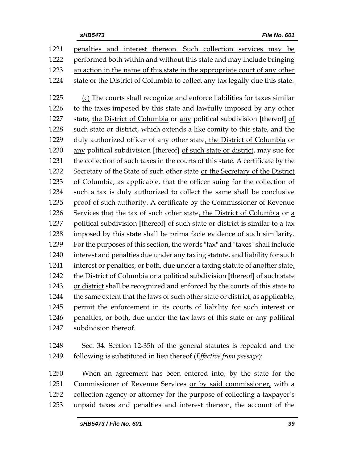| 1221 | penalties and interest thereon. Such collection services may be                |
|------|--------------------------------------------------------------------------------|
| 1222 | performed both within and without this state and may include bringing          |
| 1223 | an action in the name of this state in the appropriate court of any other      |
| 1224 | state or the District of Columbia to collect any tax legally due this state.   |
|      |                                                                                |
| 1225 | (c) The courts shall recognize and enforce liabilities for taxes similar       |
| 1226 | to the taxes imposed by this state and lawfully imposed by any other           |
| 1227 | state, the District of Columbia or any political subdivision [thereof] of      |
| 1228 | such state or district, which extends a like comity to this state, and the     |
| 1229 | duly authorized officer of any other state, the District of Columbia or        |
| 1230 | any political subdivision [thereof] of such state or district, may sue for     |
| 1231 | the collection of such taxes in the courts of this state. A certificate by the |
| 1232 | Secretary of the State of such other state or the Secretary of the District    |
| 1233 | of Columbia, as applicable, that the officer suing for the collection of       |
| 1234 | such a tax is duly authorized to collect the same shall be conclusive          |
| 1235 | proof of such authority. A certificate by the Commissioner of Revenue          |
| 1236 | Services that the tax of such other state, the District of Columbia or a       |
| 1237 | political subdivision [thereof] of such state or district is similar to a tax  |
| 1238 | imposed by this state shall be prima facie evidence of such similarity.        |
| 1239 | For the purposes of this section, the words "tax" and "taxes" shall include    |
| 1240 | interest and penalties due under any taxing statute, and liability for such    |
| 1241 | interest or penalties, or both, due under a taxing statute of another state,   |
| 1242 | the District of Columbia or a political subdivision [thereof] of such state    |
| 1243 | or district shall be recognized and enforced by the courts of this state to    |
| 1244 | the same extent that the laws of such other state or district, as applicable,  |
| 1245 | permit the enforcement in its courts of liability for such interest or         |
| 1246 | penalties, or both, due under the tax laws of this state or any political      |
| 1247 | subdivision thereof.                                                           |
|      |                                                                                |
| 1248 | Sec. 34. Section 12-35h of the general statutes is repealed and the            |

following is substituted in lieu thereof (*Effective from passage*):

 When an agreement has been entered into, by the state for the 1251 Commissioner of Revenue Services or by said commissioner, with a collection agency or attorney for the purpose of collecting a taxpayer's unpaid taxes and penalties and interest thereon, the account of the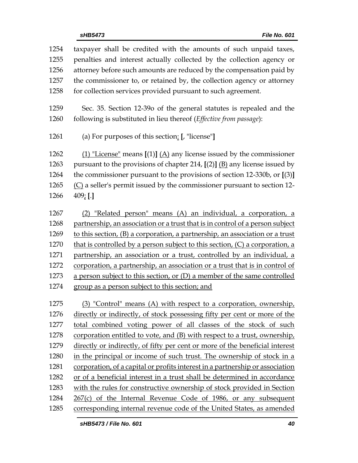taxpayer shall be credited with the amounts of such unpaid taxes, penalties and interest actually collected by the collection agency or attorney before such amounts are reduced by the compensation paid by the commissioner to, or retained by, the collection agency or attorney 1258 for collection services provided pursuant to such agreement. Sec. 35. Section 12-39o of the general statutes is repealed and the following is substituted in lieu thereof (*Effective from passage*): (a) For purposes of this section: **[**, "license"**]** (1) "License" means **[**(1)**]** (A) any license issued by the commissioner pursuant to the provisions of chapter 214, **[**(2)**]** (B) any license issued by the commissioner pursuant to the provisions of section 12-330b, or **[**(3)**]**  $(C)$  a seller's permit issued by the commissioner pursuant to section 12- 409; **[**.**]** (2) "Related person" means (A) an individual, a corporation, a 1268 partnership, an association or a trust that is in control of a person subject to this section, (B) a corporation, a partnership, an association or a trust 1270 that is controlled by a person subject to this section,  $(C)$  a corporation, a partnership, an association or a trust, controlled by an individual, a corporation, a partnership, an association or a trust that is in control of a person subject to this section, or (D) a member of the same controlled group as a person subject to this section; and (3) "Control" means (A) with respect to a corporation, ownership, directly or indirectly, of stock possessing fifty per cent or more of the total combined voting power of all classes of the stock of such corporation entitled to vote, and (B) with respect to a trust, ownership, directly or indirectly, of fifty per cent or more of the beneficial interest in the principal or income of such trust. The ownership of stock in a corporation, of a capital or profits interest in a partnership or association or of a beneficial interest in a trust shall be determined in accordance with the rules for constructive ownership of stock provided in Section 267(c) of the Internal Revenue Code of 1986, or any subsequent corresponding internal revenue code of the United States, as amended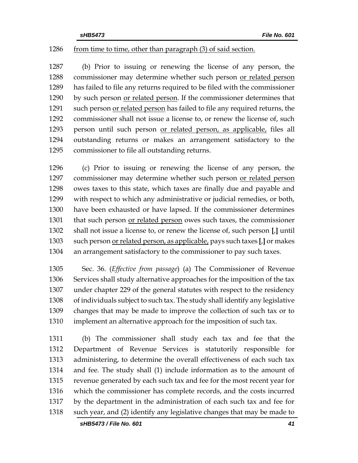#### 1286 from time to time, other than paragraph (3) of said section.

 (b) Prior to issuing or renewing the license of any person, the commissioner may determine whether such person or related person has failed to file any returns required to be filed with the commissioner 1290 by such person or related person. If the commissioner determines that 1291 such person or related person has failed to file any required returns, the commissioner shall not issue a license to, or renew the license of, such person until such person or related person, as applicable, files all outstanding returns or makes an arrangement satisfactory to the commissioner to file all outstanding returns.

 (c) Prior to issuing or renewing the license of any person, the commissioner may determine whether such person or related person owes taxes to this state, which taxes are finally due and payable and with respect to which any administrative or judicial remedies, or both, have been exhausted or have lapsed. If the commissioner determines that such person or related person owes such taxes, the commissioner shall not issue a license to, or renew the license of, such person **[**,**]** until such person or related person, as applicable, pays such taxes **[**,**]** or makes an arrangement satisfactory to the commissioner to pay such taxes.

 Sec. 36. (*Effective from passage*) (a) The Commissioner of Revenue Services shall study alternative approaches for the imposition of the tax under chapter 229 of the general statutes with respect to the residency of individuals subject to such tax. The study shall identify any legislative changes that may be made to improve the collection of such tax or to implement an alternative approach for the imposition of such tax.

 (b) The commissioner shall study each tax and fee that the Department of Revenue Services is statutorily responsible for administering, to determine the overall effectiveness of each such tax and fee. The study shall (1) include information as to the amount of revenue generated by each such tax and fee for the most recent year for which the commissioner has complete records, and the costs incurred by the department in the administration of each such tax and fee for such year, and (2) identify any legislative changes that may be made to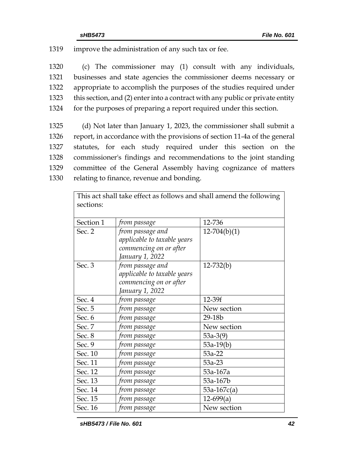1319 improve the administration of any such tax or fee.

 (c) The commissioner may (1) consult with any individuals, businesses and state agencies the commissioner deems necessary or appropriate to accomplish the purposes of the studies required under this section, and (2) enter into a contract with any public or private entity for the purposes of preparing a report required under this section.

 (d) Not later than January 1, 2023, the commissioner shall submit a report, in accordance with the provisions of section 11-4a of the general statutes, for each study required under this section on the commissioner's findings and recommendations to the joint standing committee of the General Assembly having cognizance of matters relating to finance, revenue and bonding.

This act shall take effect as follows and shall amend the following |

| sections: |                                                                                              |                |  |  |
|-----------|----------------------------------------------------------------------------------------------|----------------|--|--|
| Section 1 | from passage                                                                                 | 12-736         |  |  |
| Sec. 2    | from passage and<br>applicable to taxable years<br>commencing on or after<br>January 1, 2022 | $12-704(b)(1)$ |  |  |
| Sec. 3    | from passage and<br>applicable to taxable years<br>commencing on or after<br>January 1, 2022 | $12 - 732(b)$  |  |  |
| Sec. 4    | from passage                                                                                 | 12-39f         |  |  |
| Sec. 5    | from passage                                                                                 | New section    |  |  |
| Sec. 6    | from passage                                                                                 | 29-18b         |  |  |
| Sec. 7    | from passage                                                                                 | New section    |  |  |
| Sec. 8    | from passage                                                                                 | $53a-3(9)$     |  |  |
| Sec. 9    | from passage                                                                                 | $53a-19(b)$    |  |  |
| Sec. 10   | from passage                                                                                 | 53a-22         |  |  |
| Sec. 11   | from passage                                                                                 | $53a-23$       |  |  |
| Sec. 12   | from passage                                                                                 | 53a-167a       |  |  |
| Sec. 13   | from passage                                                                                 | 53a-167b       |  |  |
| Sec. 14   | from passage                                                                                 | $53a-167c(a)$  |  |  |
| Sec. 15   | from passage                                                                                 | $12-699(a)$    |  |  |
| Sec. 16   | from passage                                                                                 | New section    |  |  |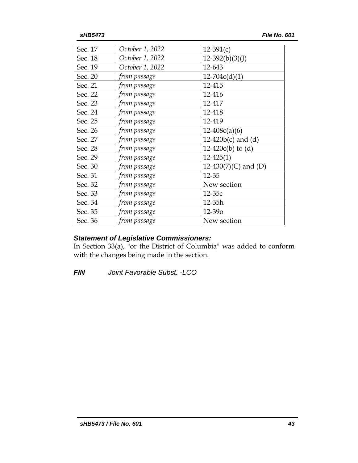| Sec. 17 | October 1, 2022 | $12-391(c)$           |
|---------|-----------------|-----------------------|
| Sec. 18 | October 1, 2022 | $12-392(b)(3)(J)$     |
| Sec. 19 | October 1, 2022 | 12-643                |
| Sec. 20 | from passage    | $12 - 704c(d)(1)$     |
| Sec. 21 | from passage    | 12-415                |
| Sec. 22 | from passage    | 12-416                |
| Sec. 23 | from passage    | 12-417                |
| Sec. 24 | from passage    | 12-418                |
| Sec. 25 | from passage    | 12-419                |
| Sec. 26 | from passage    | $12-408c(a)(6)$       |
| Sec. 27 | from passage    | 12-420 $b(c)$ and (d) |
| Sec. 28 | from passage    | $12-420c(b)$ to (d)   |
| Sec. 29 | from passage    | $12 - 425(1)$         |
| Sec. 30 | from passage    | 12-430(7)(C) and (D)  |
| Sec. 31 | from passage    | 12-35                 |
| Sec. 32 | from passage    | New section           |
| Sec. 33 | from passage    | $12-35c$              |
| Sec. 34 | from passage    | 12-35h                |
| Sec. 35 | from passage    | 12-390                |
| Sec. 36 | from passage    | New section           |

## *Statement of Legislative Commissioners:*

In Section 33(a), "or the District of Columbia" was added to conform with the changes being made in the section.

*FIN Joint Favorable Subst. -LCO*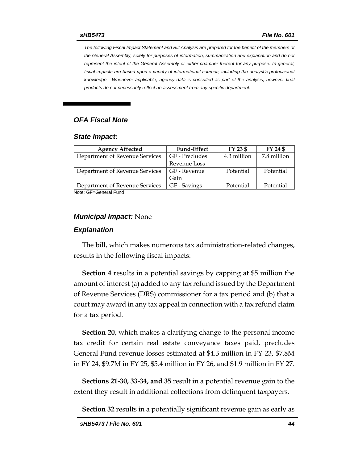*The following Fiscal Impact Statement and Bill Analysis are prepared for the benefit of the members of the General Assembly, solely for purposes of information, summarization and explanation and do not represent the intent of the General Assembly or either chamber thereof for any purpose. In general, fiscal impacts are based upon a variety of informational sources, including the analyst's professional knowledge. Whenever applicable, agency data is consulted as part of the analysis, however final products do not necessarily reflect an assessment from any specific department.*

## *OFA Fiscal Note*

#### *State Impact:*

| <b>Agency Affected</b>         | <b>Fund-Effect</b> | FY 23 \$    | FY 24 \$    |
|--------------------------------|--------------------|-------------|-------------|
| Department of Revenue Services | GF - Precludes     | 4.3 million | 7.8 million |
|                                | Revenue Loss       |             |             |
| Department of Revenue Services | GF - Revenue       | Potential   | Potential   |
|                                | Gain               |             |             |
| Department of Revenue Services | GF - Savings       | Potential   | Potential   |
| Noto: CE-Conoral Eund          |                    |             |             |

Note: GF=General Fund

#### *Municipal Impact:* None

#### *Explanation*

The bill, which makes numerous tax administration-related changes, results in the following fiscal impacts:

**Section 4** results in a potential savings by capping at \$5 million the amount of interest (a) added to any tax refund issued by the Department of Revenue Services (DRS) commissioner for a tax period and (b) that a court may award in any tax appeal in connection with a tax refund claim for a tax period.

**Section 20**, which makes a clarifying change to the personal income tax credit for certain real estate conveyance taxes paid, precludes General Fund revenue losses estimated at \$4.3 million in FY 23, \$7.8M in FY 24, \$9.7M in FY 25, \$5.4 million in FY 26, and \$1.9 million in FY 27.

**Sections 21-30, 33-34, and 35** result in a potential revenue gain to the extent they result in additional collections from delinquent taxpayers.

**Section 32** results in a potentially significant revenue gain as early as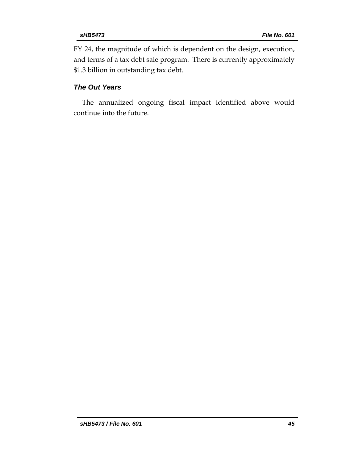FY 24, the magnitude of which is dependent on the design, execution, and terms of a tax debt sale program. There is currently approximately \$1.3 billion in outstanding tax debt.

## *The Out Years*

The annualized ongoing fiscal impact identified above would continue into the future.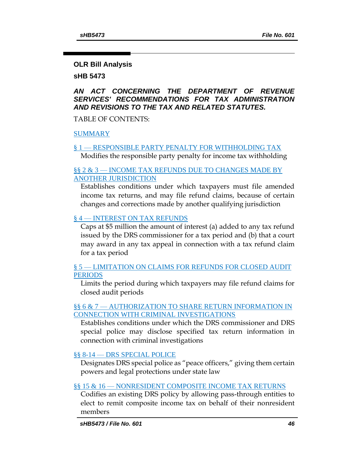#### **OLR Bill Analysis**

**sHB 5473**

## *AN ACT CONCERNING THE DEPARTMENT OF REVENUE SERVICES' RECOMMENDATIONS FOR TAX ADMINISTRATION AND REVISIONS TO THE TAX AND RELATED STATUTES.*

TABLE OF CONTENTS:

[SUMMARY](#page-46-0)

# § 1 — [RESPONSIBLE PARTY PENALTY FOR WITHHOLDING TAX](#page-47-0)

[Modifies the responsible party penalty for income tax withholding](#page-48-0)

#### §§ 2 & 3 — INCOME TAX REFUNDS DUE TO CHANGES MADE BY [ANOTHER JURISDICTION](#page-48-1)

[Establishes conditions under which taxpayers must file amended](#page-48-2)  [income tax returns, and may file refund claims, because of certain](#page-48-2)  [changes and corrections made by another qualifying jurisdiction](#page-48-2)

## § 4 — [INTEREST ON TAX REFUNDS](#page-49-0)

[Caps at \\$5 million the amount of interest \(a\) added to any tax refund](#page-49-1)  [issued by the DRS commissioner for a tax period and \(b\) that a court](#page-49-1)  [may award in any tax appeal in connection with a tax refund claim](#page-49-1)  [for a tax period](#page-49-1)

## § 5 — [LIMITATION ON CLAIMS FOR REFUNDS FOR CLOSED AUDIT](#page-49-2)  **[PERIODS](#page-49-2)**

[Limits the period during which taxpayers may file refund claims for](#page-49-3)  [closed audit periods](#page-49-3)

## §§ 6 & 7 — AUTHORIZATION TO SHARE RETURN INFORMATION IN [CONNECTION WITH CRIMINAL INVESTIGATIONS](#page-49-4)

[Establishes conditions under which the DRS](#page-49-5) commissioner and DRS [special police may disclose specified tax return information in](#page-49-5)  [connection with criminal investigations](#page-49-5)

## §§ 8-14 — [DRS SPECIAL POLICE](#page-50-0)

[Designates DRS special police as "peace officers," giving them certain](#page-50-1)  [powers and legal protections under state law](#page-50-1)

## §§ 15 & 16 — [NONRESIDENT COMPOSITE INCOME TAX RETURNS](#page-51-0)

[Codifies an existing DRS policy by allowing pass-through entities to](#page-51-1)  [elect to remit composite income tax on behalf of their nonresident](#page-51-1)  [members](#page-51-1)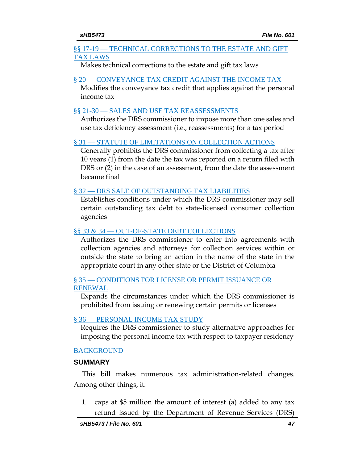#### §§ 17-19 — TECHNICAL CORRECTIONS TO THE ESTATE AND GIFT [TAX LAWS](#page-52-0)

[Makes technical corrections to the estate and gift tax laws](#page-52-1)

#### § 20 — [CONVEYANCE TAX CREDIT AGAINST THE INCOME TAX](#page-53-0)

[Modifies the conveyance tax credit that applies against the personal](#page-53-1)  [income tax](#page-53-1)

## §§ 21-30 - [SALES AND USE TAX REASSESSMENTS](#page-53-2)

[Authorizes the DRS commissioner to impose more than one sales and](#page-53-3)  [use tax deficiency assessment \(i.e., reassessments\) for a tax period](#page-53-3)

## § 31 — [STATUTE OF LIMITATIONS ON COLLECTION ACTIONS](#page-54-0)

[Generally prohibits the DRS commissioner from collecting a tax after](#page-54-1)  [10 years \(1\) from the date the tax was reported on a return filed with](#page-54-1)  [DRS or \(2\) in the case of an assessment, from the date the assessment](#page-54-1)  [became final](#page-54-1)

## § 32 — [DRS SALE OF OUTSTANDING TAX LIABILITIES](#page-55-0)

[Establishes conditions under which the DRS commissioner may sell](#page-55-1)  [certain outstanding tax debt to state-licensed consumer collection](#page-55-1)  [agencies](#page-55-1)

## §§ 33 & 34 — [OUT-OF-STATE DEBT COLLECTIONS](#page-56-0)

[Authorizes the DRS commissioner to enter into agreements with](#page-56-1)  [collection agencies and attorneys for collection services within or](#page-56-1)  [outside the state to bring an action in the name of the state in the](#page-56-1)  [appropriate court in any other state or the District of Columbia](#page-56-1)

## § 35 — CONDITIONS FOR LICENSE OR PERMIT ISSUANCE OR [RENEWAL](#page-57-0)

[Expands the circumstances under which the DRS commissioner is](#page-57-1)  [prohibited from issuing or renewing certain permits or licenses](#page-57-1)

## § 36 — [PERSONAL INCOME TAX STUDY](#page-58-0)

[Requires the DRS commissioner to study alternative approaches for](#page-58-1)  [imposing the personal income tax with respect to taxpayer residency](#page-58-1)

## [BACKGROUND](#page-58-2)

## <span id="page-46-0"></span>**SUMMARY**

This bill makes numerous tax administration-related changes. Among other things, it:

1. caps at \$5 million the amount of interest (a) added to any tax refund issued by the Department of Revenue Services (DRS)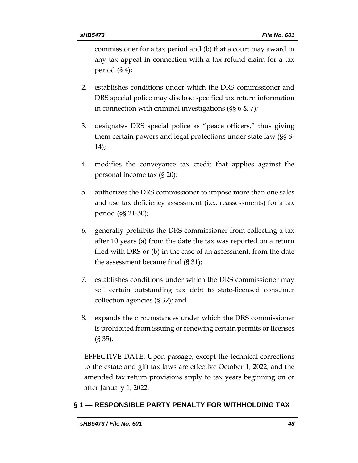commissioner for a tax period and (b) that a court may award in any tax appeal in connection with a tax refund claim for a tax period (§ 4);

- 2. establishes conditions under which the DRS commissioner and DRS special police may disclose specified tax return information in connection with criminal investigations (§§ 6 & 7);
- 3. designates DRS special police as "peace officers," thus giving them certain powers and legal protections under state law (§§ 8- 14);
- 4. modifies the conveyance tax credit that applies against the personal income tax (§ 20);
- 5. authorizes the DRS commissioner to impose more than one sales and use tax deficiency assessment (i.e., reassessments) for a tax period (§§ 21-30);
- 6. generally prohibits the DRS commissioner from collecting a tax after 10 years (a) from the date the tax was reported on a return filed with DRS or (b) in the case of an assessment, from the date the assessment became final (§ 31);
- 7. establishes conditions under which the DRS commissioner may sell certain outstanding tax debt to state-licensed consumer collection agencies (§ 32); and
- 8. expands the circumstances under which the DRS commissioner is prohibited from issuing or renewing certain permits or licenses (§ 35).

EFFECTIVE DATE: Upon passage, except the technical corrections to the estate and gift tax laws are effective October 1, 2022, and the amended tax return provisions apply to tax years beginning on or after January 1, 2022.

## <span id="page-47-0"></span>**§ 1 — RESPONSIBLE PARTY PENALTY FOR WITHHOLDING TAX**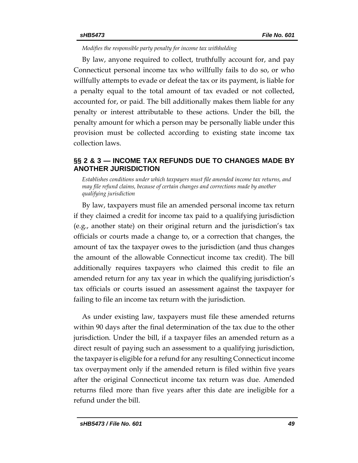<span id="page-48-0"></span>*Modifies the responsible party penalty for income tax withholding*

By law, anyone required to collect, truthfully account for, and pay Connecticut personal income tax who willfully fails to do so, or who willfully attempts to evade or defeat the tax or its payment, is liable for a penalty equal to the total amount of tax evaded or not collected, accounted for, or paid. The bill additionally makes them liable for any penalty or interest attributable to these actions. Under the bill, the penalty amount for which a person may be personally liable under this provision must be collected according to existing state income tax collection laws.

## <span id="page-48-1"></span>**§§ 2 & 3 — INCOME TAX REFUNDS DUE TO CHANGES MADE BY ANOTHER JURISDICTION**

<span id="page-48-2"></span>*Establishes conditions under which taxpayers must file amended income tax returns, and may file refund claims, because of certain changes and corrections made by another qualifying jurisdiction*

By law, taxpayers must file an amended personal income tax return if they claimed a credit for income tax paid to a qualifying jurisdiction (e.g., another state) on their original return and the jurisdiction's tax officials or courts made a change to, or a correction that changes, the amount of tax the taxpayer owes to the jurisdiction (and thus changes the amount of the allowable Connecticut income tax credit). The bill additionally requires taxpayers who claimed this credit to file an amended return for any tax year in which the qualifying jurisdiction's tax officials or courts issued an assessment against the taxpayer for failing to file an income tax return with the jurisdiction.

As under existing law, taxpayers must file these amended returns within 90 days after the final determination of the tax due to the other jurisdiction. Under the bill, if a taxpayer files an amended return as a direct result of paying such an assessment to a qualifying jurisdiction, the taxpayer is eligible for a refund for any resulting Connecticut income tax overpayment only if the amended return is filed within five years after the original Connecticut income tax return was due. Amended returns filed more than five years after this date are ineligible for a refund under the bill.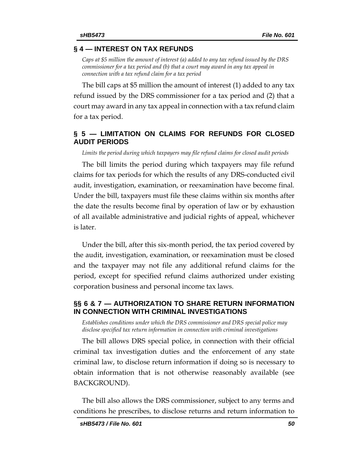#### <span id="page-49-0"></span>**§ 4 — INTEREST ON TAX REFUNDS**

<span id="page-49-1"></span>*Caps at \$5 million the amount of interest (a) added to any tax refund issued by the DRS commissioner for a tax period and (b) that a court may award in any tax appeal in connection with a tax refund claim for a tax period*

The bill caps at \$5 million the amount of interest (1) added to any tax refund issued by the DRS commissioner for a tax period and (2) that a court may award in any tax appeal in connection with a tax refund claim for a tax period.

#### <span id="page-49-2"></span>**§ 5 — LIMITATION ON CLAIMS FOR REFUNDS FOR CLOSED AUDIT PERIODS**

<span id="page-49-3"></span>*Limits the period during which taxpayers may file refund claims for closed audit periods*

The bill limits the period during which taxpayers may file refund claims for tax periods for which the results of any DRS-conducted civil audit, investigation, examination, or reexamination have become final. Under the bill, taxpayers must file these claims within six months after the date the results become final by operation of law or by exhaustion of all available administrative and judicial rights of appeal, whichever is later.

Under the bill, after this six-month period, the tax period covered by the audit, investigation, examination, or reexamination must be closed and the taxpayer may not file any additional refund claims for the period, except for specified refund claims authorized under existing corporation business and personal income tax laws.

#### <span id="page-49-4"></span>**§§ 6 & 7 — AUTHORIZATION TO SHARE RETURN INFORMATION IN CONNECTION WITH CRIMINAL INVESTIGATIONS**

<span id="page-49-5"></span>*Establishes conditions under which the DRS commissioner and DRS special police may disclose specified tax return information in connection with criminal investigations*

The bill allows DRS special police, in connection with their official criminal tax investigation duties and the enforcement of any state criminal law, to disclose return information if doing so is necessary to obtain information that is not otherwise reasonably available (see BACKGROUND).

The bill also allows the DRS commissioner, subject to any terms and conditions he prescribes, to disclose returns and return information to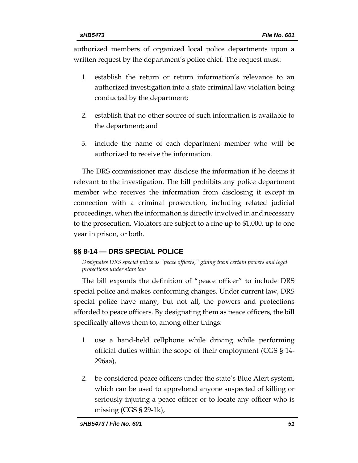authorized members of organized local police departments upon a written request by the department's police chief. The request must:

- 1. establish the return or return information's relevance to an authorized investigation into a state criminal law violation being conducted by the department;
- 2. establish that no other source of such information is available to the department; and
- 3. include the name of each department member who will be authorized to receive the information.

The DRS commissioner may disclose the information if he deems it relevant to the investigation. The bill prohibits any police department member who receives the information from disclosing it except in connection with a criminal prosecution, including related judicial proceedings, when the information is directly involved in and necessary to the prosecution. Violators are subject to a fine up to \$1,000, up to one year in prison, or both.

## <span id="page-50-0"></span>**§§ 8-14 — DRS SPECIAL POLICE**

<span id="page-50-1"></span>*Designates DRS special police as "peace officers," giving them certain powers and legal protections under state law*

The bill expands the definition of "peace officer" to include DRS special police and makes conforming changes. Under current law, DRS special police have many, but not all, the powers and protections afforded to peace officers. By designating them as peace officers, the bill specifically allows them to, among other things:

- 1. use a hand-held cellphone while driving while performing official duties within the scope of their employment (CGS § 14- 296aa),
- 2. be considered peace officers under the state's Blue Alert system, which can be used to apprehend anyone suspected of killing or seriously injuring a peace officer or to locate any officer who is missing (CGS § 29-1k),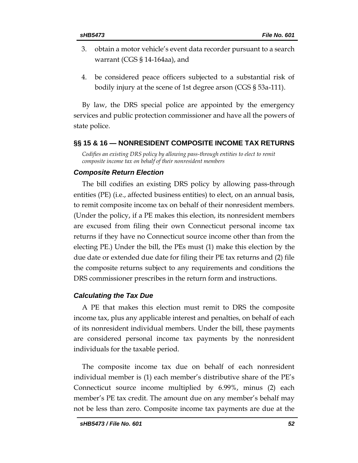- 3. obtain a motor vehicle's event data recorder pursuant to a search warrant (CGS § 14-164aa), and
- 4. be considered peace officers subjected to a substantial risk of bodily injury at the scene of 1st degree arson (CGS § 53a-111).

By law, the DRS special police are appointed by the emergency services and public protection commissioner and have all the powers of state police.

#### <span id="page-51-0"></span>**§§ 15 & 16 — NONRESIDENT COMPOSITE INCOME TAX RETURNS**

<span id="page-51-1"></span>*Codifies an existing DRS policy by allowing pass-through entities to elect to remit composite income tax on behalf of their nonresident members*

#### *Composite Return Election*

The bill codifies an existing DRS policy by allowing pass-through entities (PE) (i.e., affected business entities) to elect, on an annual basis, to remit composite income tax on behalf of their nonresident members. (Under the policy, if a PE makes this election, its nonresident members are excused from filing their own Connecticut personal income tax returns if they have no Connecticut source income other than from the electing PE.) Under the bill, the PEs must (1) make this election by the due date or extended due date for filing their PE tax returns and (2) file the composite returns subject to any requirements and conditions the DRS commissioner prescribes in the return form and instructions.

#### *Calculating the Tax Due*

A PE that makes this election must remit to DRS the composite income tax, plus any applicable interest and penalties, on behalf of each of its nonresident individual members. Under the bill, these payments are considered personal income tax payments by the nonresident individuals for the taxable period.

The composite income tax due on behalf of each nonresident individual member is (1) each member's distributive share of the PE's Connecticut source income multiplied by 6.99%, minus (2) each member's PE tax credit. The amount due on any member's behalf may not be less than zero. Composite income tax payments are due at the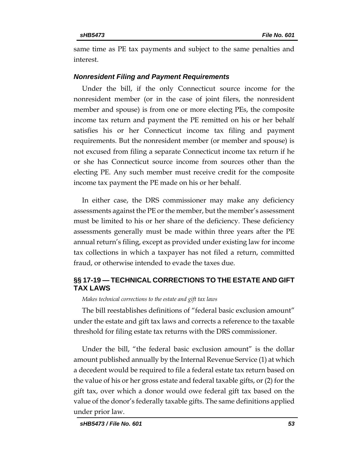same time as PE tax payments and subject to the same penalties and interest.

#### *Nonresident Filing and Payment Requirements*

Under the bill, if the only Connecticut source income for the nonresident member (or in the case of joint filers, the nonresident member and spouse) is from one or more electing PEs, the composite income tax return and payment the PE remitted on his or her behalf satisfies his or her Connecticut income tax filing and payment requirements. But the nonresident member (or member and spouse) is not excused from filing a separate Connecticut income tax return if he or she has Connecticut source income from sources other than the electing PE. Any such member must receive credit for the composite income tax payment the PE made on his or her behalf.

In either case, the DRS commissioner may make any deficiency assessments against the PE or the member, but the member's assessment must be limited to his or her share of the deficiency. These deficiency assessments generally must be made within three years after the PE annual return's filing, except as provided under existing law for income tax collections in which a taxpayer has not filed a return, committed fraud, or otherwise intended to evade the taxes due.

## <span id="page-52-0"></span>**§§ 17-19 — TECHNICAL CORRECTIONS TO THE ESTATE AND GIFT TAX LAWS**

<span id="page-52-1"></span>*Makes technical corrections to the estate and gift tax laws*

The bill reestablishes definitions of "federal basic exclusion amount" under the estate and gift tax laws and corrects a reference to the taxable threshold for filing estate tax returns with the DRS commissioner.

Under the bill, "the federal basic exclusion amount" is the dollar amount published annually by the Internal Revenue Service (1) at which a decedent would be required to file a federal estate tax return based on the value of his or her gross estate and federal taxable gifts, or (2) for the gift tax, over which a donor would owe federal gift tax based on the value of the donor's federally taxable gifts. The same definitions applied under prior law.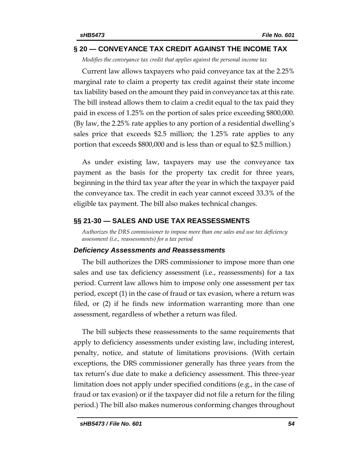#### <span id="page-53-0"></span>**§ 20 — CONVEYANCE TAX CREDIT AGAINST THE INCOME TAX**

<span id="page-53-1"></span>*Modifies the conveyance tax credit that applies against the personal income tax*

Current law allows taxpayers who paid conveyance tax at the 2.25% marginal rate to claim a property tax credit against their state income tax liability based on the amount they paid in conveyance tax at this rate. The bill instead allows them to claim a credit equal to the tax paid they paid in excess of 1.25% on the portion of sales price exceeding \$800,000. (By law, the 2.25% rate applies to any portion of a residential dwelling's sales price that exceeds \$2.5 million; the 1.25% rate applies to any portion that exceeds \$800,000 and is less than or equal to \$2.5 million.)

As under existing law, taxpayers may use the conveyance tax payment as the basis for the property tax credit for three years, beginning in the third tax year after the year in which the taxpayer paid the conveyance tax. The credit in each year cannot exceed 33.3% of the eligible tax payment. The bill also makes technical changes.

#### <span id="page-53-2"></span>**§§ 21-30 — SALES AND USE TAX REASSESSMENTS**

<span id="page-53-3"></span>*Authorizes the DRS commissioner to impose more than one sales and use tax deficiency assessment (i.e., reassessments) for a tax period*

#### *Deficiency Assessments and Reassessments*

The bill authorizes the DRS commissioner to impose more than one sales and use tax deficiency assessment (i.e., reassessments) for a tax period. Current law allows him to impose only one assessment per tax period, except (1) in the case of fraud or tax evasion, where a return was filed, or (2) if he finds new information warranting more than one assessment, regardless of whether a return was filed.

The bill subjects these reassessments to the same requirements that apply to deficiency assessments under existing law, including interest, penalty, notice, and statute of limitations provisions. (With certain exceptions, the DRS commissioner generally has three years from the tax return's due date to make a deficiency assessment. This three-year limitation does not apply under specified conditions (e.g., in the case of fraud or tax evasion) or if the taxpayer did not file a return for the filing period.) The bill also makes numerous conforming changes throughout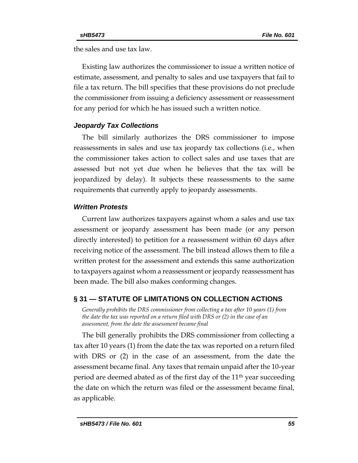the sales and use tax law.

Existing law authorizes the commissioner to issue a written notice of estimate, assessment, and penalty to sales and use taxpayers that fail to file a tax return. The bill specifies that these provisions do not preclude the commissioner from issuing a deficiency assessment or reassessment for any period for which he has issued such a written notice.

#### *Jeopardy Tax Collections*

The bill similarly authorizes the DRS commissioner to impose reassessments in sales and use tax jeopardy tax collections (i.e., when the commissioner takes action to collect sales and use taxes that are assessed but not yet due when he believes that the tax will be jeopardized by delay). It subjects these reassessments to the same requirements that currently apply to jeopardy assessments.

#### *Written Protests*

Current law authorizes taxpayers against whom a sales and use tax assessment or jeopardy assessment has been made (or any person directly interested) to petition for a reassessment within 60 days after receiving notice of the assessment. The bill instead allows them to file a written protest for the assessment and extends this same authorization to taxpayers against whom a reassessment or jeopardy reassessment has been made. The bill also makes conforming changes.

## <span id="page-54-0"></span>**§ 31 — STATUTE OF LIMITATIONS ON COLLECTION ACTIONS**

<span id="page-54-1"></span>*Generally prohibits the DRS commissioner from collecting a tax after 10 years (1) from the date the tax was reported on a return filed with DRS or (2) in the case of an assessment, from the date the assessment became final*

The bill generally prohibits the DRS commissioner from collecting a tax after 10 years (1) from the date the tax was reported on a return filed with DRS or (2) in the case of an assessment, from the date the assessment became final. Any taxes that remain unpaid after the 10-year period are deemed abated as of the first day of the  $11<sup>th</sup>$  year succeeding the date on which the return was filed or the assessment became final, as applicable.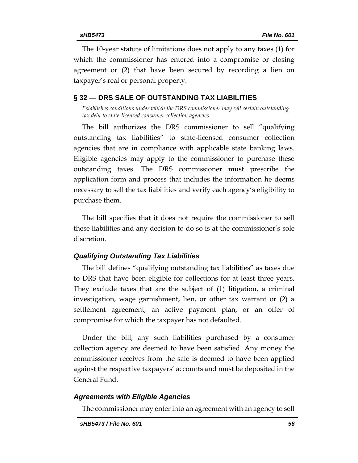The 10-year statute of limitations does not apply to any taxes (1) for which the commissioner has entered into a compromise or closing agreement or (2) that have been secured by recording a lien on taxpayer's real or personal property.

## <span id="page-55-0"></span>**§ 32 — DRS SALE OF OUTSTANDING TAX LIABILITIES**

<span id="page-55-1"></span>*Establishes conditions under which the DRS commissioner may sell certain outstanding tax debt to state-licensed consumer collection agencies*

The bill authorizes the DRS commissioner to sell "qualifying outstanding tax liabilities" to state-licensed consumer collection agencies that are in compliance with applicable state banking laws. Eligible agencies may apply to the commissioner to purchase these outstanding taxes. The DRS commissioner must prescribe the application form and process that includes the information he deems necessary to sell the tax liabilities and verify each agency's eligibility to purchase them.

The bill specifies that it does not require the commissioner to sell these liabilities and any decision to do so is at the commissioner's sole discretion.

#### *Qualifying Outstanding Tax Liabilities*

The bill defines "qualifying outstanding tax liabilities" as taxes due to DRS that have been eligible for collections for at least three years. They exclude taxes that are the subject of (1) litigation, a criminal investigation, wage garnishment, lien, or other tax warrant or (2) a settlement agreement, an active payment plan, or an offer of compromise for which the taxpayer has not defaulted.

Under the bill, any such liabilities purchased by a consumer collection agency are deemed to have been satisfied. Any money the commissioner receives from the sale is deemed to have been applied against the respective taxpayers' accounts and must be deposited in the General Fund.

#### *Agreements with Eligible Agencies*

The commissioner may enter into an agreement with an agency to sell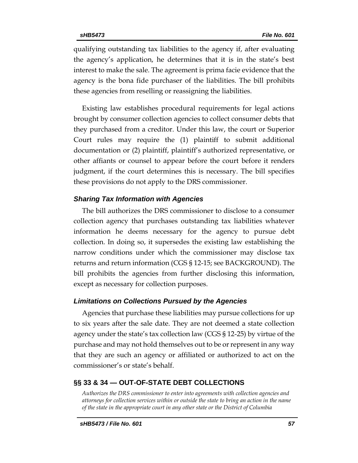qualifying outstanding tax liabilities to the agency if, after evaluating the agency's application, he determines that it is in the state's best interest to make the sale. The agreement is prima facie evidence that the agency is the bona fide purchaser of the liabilities. The bill prohibits these agencies from reselling or reassigning the liabilities.

Existing law establishes procedural requirements for legal actions brought by consumer collection agencies to collect consumer debts that they purchased from a creditor. Under this law, the court or Superior Court rules may require the (1) plaintiff to submit additional documentation or (2) plaintiff, plaintiff's authorized representative, or other affiants or counsel to appear before the court before it renders judgment, if the court determines this is necessary. The bill specifies these provisions do not apply to the DRS commissioner.

#### *Sharing Tax Information with Agencies*

The bill authorizes the DRS commissioner to disclose to a consumer collection agency that purchases outstanding tax liabilities whatever information he deems necessary for the agency to pursue debt collection. In doing so, it supersedes the existing law establishing the narrow conditions under which the commissioner may disclose tax returns and return information (CGS § 12-15; see BACKGROUND). The bill prohibits the agencies from further disclosing this information, except as necessary for collection purposes.

#### *Limitations on Collections Pursued by the Agencies*

Agencies that purchase these liabilities may pursue collections for up to six years after the sale date. They are not deemed a state collection agency under the state's tax collection law (CGS § 12-25) by virtue of the purchase and may not hold themselves out to be or represent in any way that they are such an agency or affiliated or authorized to act on the commissioner's or state's behalf.

## <span id="page-56-0"></span>**§§ 33 & 34 — OUT-OF-STATE DEBT COLLECTIONS**

<span id="page-56-1"></span>*Authorizes the DRS commissioner to enter into agreements with collection agencies and attorneys for collection services within or outside the state to bring an action in the name of the state in the appropriate court in any other state or the District of Columbia*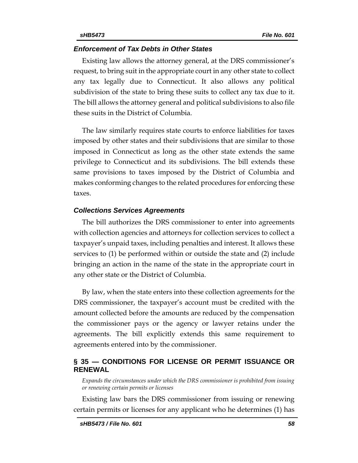#### *Enforcement of Tax Debts in Other States*

Existing law allows the attorney general, at the DRS commissioner's request, to bring suit in the appropriate court in any other state to collect any tax legally due to Connecticut. It also allows any political subdivision of the state to bring these suits to collect any tax due to it. The bill allows the attorney general and political subdivisions to also file these suits in the District of Columbia.

The law similarly requires state courts to enforce liabilities for taxes imposed by other states and their subdivisions that are similar to those imposed in Connecticut as long as the other state extends the same privilege to Connecticut and its subdivisions. The bill extends these same provisions to taxes imposed by the District of Columbia and makes conforming changes to the related procedures for enforcing these taxes.

#### *Collections Services Agreements*

The bill authorizes the DRS commissioner to enter into agreements with collection agencies and attorneys for collection services to collect a taxpayer's unpaid taxes, including penalties and interest. It allows these services to (1) be performed within or outside the state and (2) include bringing an action in the name of the state in the appropriate court in any other state or the District of Columbia.

By law, when the state enters into these collection agreements for the DRS commissioner, the taxpayer's account must be credited with the amount collected before the amounts are reduced by the compensation the commissioner pays or the agency or lawyer retains under the agreements. The bill explicitly extends this same requirement to agreements entered into by the commissioner.

#### <span id="page-57-0"></span>**§ 35 — CONDITIONS FOR LICENSE OR PERMIT ISSUANCE OR RENEWAL**

<span id="page-57-1"></span>*Expands the circumstances under which the DRS commissioner is prohibited from issuing or renewing certain permits or licenses*

Existing law bars the DRS commissioner from issuing or renewing certain permits or licenses for any applicant who he determines (1) has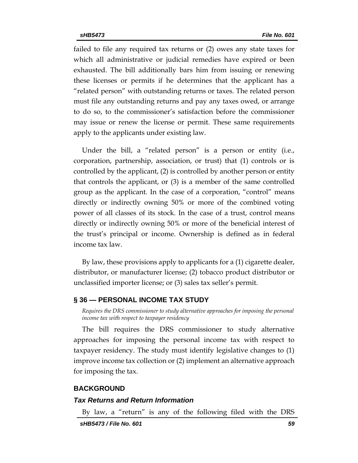failed to file any required tax returns or (2) owes any state taxes for which all administrative or judicial remedies have expired or been exhausted. The bill additionally bars him from issuing or renewing these licenses or permits if he determines that the applicant has a "related person" with outstanding returns or taxes. The related person must file any outstanding returns and pay any taxes owed, or arrange to do so, to the commissioner's satisfaction before the commissioner may issue or renew the license or permit. These same requirements apply to the applicants under existing law.

Under the bill, a "related person" is a person or entity (i.e., corporation, partnership, association, or trust) that (1) controls or is controlled by the applicant, (2) is controlled by another person or entity that controls the applicant, or (3) is a member of the same controlled group as the applicant. In the case of a corporation, "control" means directly or indirectly owning 50% or more of the combined voting power of all classes of its stock. In the case of a trust, control means directly or indirectly owning 50% or more of the beneficial interest of the trust's principal or income. Ownership is defined as in federal income tax law.

By law, these provisions apply to applicants for a (1) cigarette dealer, distributor, or manufacturer license; (2) tobacco product distributor or unclassified importer license; or (3) sales tax seller's permit.

#### <span id="page-58-1"></span><span id="page-58-0"></span>**§ 36 — PERSONAL INCOME TAX STUDY**

*Requires the DRS commissioner to study alternative approaches for imposing the personal income tax with respect to taxpayer residency*

The bill requires the DRS commissioner to study alternative approaches for imposing the personal income tax with respect to taxpayer residency. The study must identify legislative changes to (1) improve income tax collection or (2) implement an alternative approach for imposing the tax.

#### <span id="page-58-2"></span>**BACKGROUND**

#### *Tax Returns and Return Information*

By law, a "return" is any of the following filed with the DRS